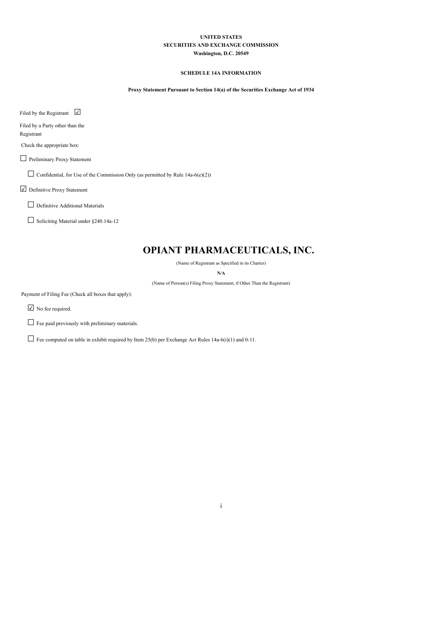### **UNITED STATES SECURITIES AND EXCHANGE COMMISSION Washington, D.C. 20549**

### **SCHEDULE 14A INFORMATION**

**Proxy Statement Pursuant to Section 14(a) of the Securities Exchange Act of 1934**

Filed by the Registrant  $□$ 

Filed by a Party other than the Registrant

Check the appropriate box:

□ Preliminary Proxy Statement

 $\Box$  Confidential, for Use of the Commission Only (as permitted by Rule 14a-6(e)(2))

☑ Definitive Proxy Statement

□ Definitive Additional Materials

☐ Soliciting Material under §240.14a-12

# **OPIANT PHARMACEUTICALS, INC.**

(Name of Registrant as Specified in its Charter)

**N/A**

(Name of Person(s) Filing Proxy Statement, if Other Than the Registrant)

Payment of Filing Fee (Check all boxes that apply):

☑ No fee required.

□ Fee paid previously with preliminary materials.

 $\Box$  Fee computed on table in exhibit required by Item 25(b) per Exchange Act Rules 14a-6(i)(1) and 0-11.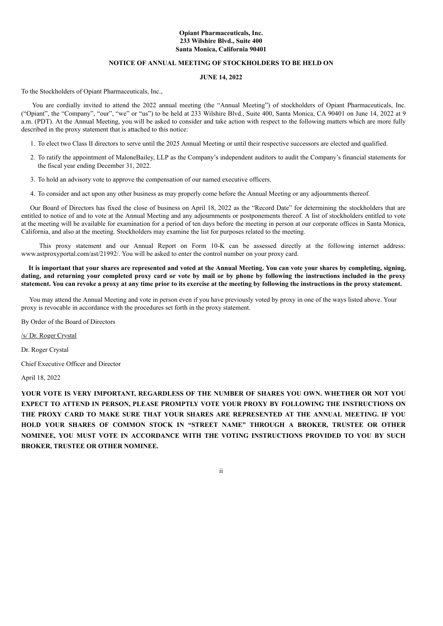### **Opiant Pharmaceuticals, Inc. 233 Wilshire Blvd., Suite 400 Santa Monica, California 90401**

### **NOTICE OF ANNUAL MEETING OF STOCKHOLDERS TO BE HELD ON**

### **JUNE 14, 2022**

To the Stockholders of Opiant Pharmaceuticals, Inc.,

You are cordially invited to attend the 2022 annual meeting (the "Annual Meeting") of stockholders of Opiant Pharmaceuticals, Inc. ("Opiant", the "Company", "our", "we" or "us") to be held at 233 Wilshire Blvd., Suite 400, Santa Monica, CA 90401 on June 14, 2022 at 9 a.m. (PDT). At the Annual Meeting, you will be asked to consider and take action with respect to the following matters which are more fully described in the proxy statement that is attached to this notice:

- 1. To elect two Class II directors to serve until the 2025 Annual Meeting or until their respective successors are elected and qualified.
- 2. To ratify the appointment of MaloneBailey, LLP as the Company's independent auditors to audit the Company's financial statements for the fiscal year ending December 31, 2022.
- 3. To hold an advisory vote to approve the compensation of our named executive officers.
- 4. To consider and act upon any other business as may properly come before the Annual Meeting or any adjournments thereof.

Our Board of Directors has fixed the close of business on April 18, 2022 as the "Record Date" for determining the stockholders that are entitled to notice of and to vote at the Annual Meeting and any adjournments or postponements thereof. A list of stockholders entitled to vote at the meeting will be available for examination for a period of ten days before the meeting in person at our corporate offices in Santa Monica, California, and also at the meeting. Stockholders may examine the list for purposes related to the meeting.

This proxy statement and our Annual Report on Form 10-K can be assessed directly at the following internet address: www.astproxyportal.com/ast/21992/. You will be asked to enter the control number on your proxy card.

It is important that your shares are represented and voted at the Annual Meeting. You can vote your shares by completing, signing, dating, and returning your completed proxy card or vote by mail or by phone by following the instructions included in the proxy statement. You can revoke a proxy at any time prior to its exercise at the meeting by following the instructions in the proxy statement.

 You may attend the Annual Meeting and vote in person even if you have previously voted by proxy in one of the ways listed above. Your proxy is revocable in accordance with the procedures set forth in the proxy statement.

By Order of the Board of Directors

/s/ Dr. Roger Crystal

Dr. Roger Crystal

Chief Executive Officer and Director

April 18, 2022

**YOUR VOTE IS VERY IMPORTANT, REGARDLESS OF THE NUMBER OF SHARES YOU OWN. WHETHER OR NOT YOU EXPECT TO ATTEND IN PERSON, PLEASE PROMPTLY VOTE YOUR PROXY BY FOLLOWING THE INSTRUCTIONS ON THE PROXY CARD TO MAKE SURE THAT YOUR SHARES ARE REPRESENTED AT THE ANNUAL MEETING. IF YOU HOLD YOUR SHARES OF COMMON STOCK IN "STREET NAME" THROUGH A BROKER, TRUSTEE OR OTHER NOMINEE, YOU MUST VOTE IN ACCORDANCE WITH THE VOTING INSTRUCTIONS PROVIDED TO YOU BY SUCH BROKER, TRUSTEE OR OTHER NOMINEE.**

ii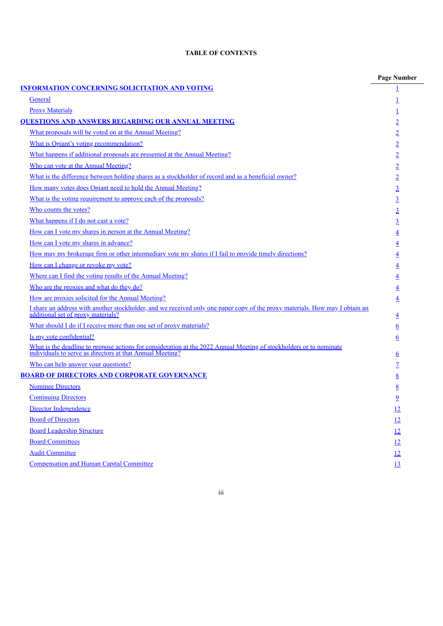# **TABLE OF CONTENTS**

|                                                                                                                                                                               | <b>Page Number</b> |
|-------------------------------------------------------------------------------------------------------------------------------------------------------------------------------|--------------------|
| <b>INFORMATION CONCERNING SOLICITATION AND VOTING</b>                                                                                                                         |                    |
| General                                                                                                                                                                       |                    |
| <b>Proxy Materials</b>                                                                                                                                                        | 1                  |
| <b>QUESTIONS AND ANSWERS REGARDING OUR ANNUAL MEETING</b>                                                                                                                     | $\overline{2}$     |
| What proposals will be voted on at the Annual Meeting?                                                                                                                        | $\overline{2}$     |
| What is Opiant's voting recommendation?                                                                                                                                       | $\overline{2}$     |
| What happens if additional proposals are presented at the Annual Meeting?                                                                                                     | $\overline{2}$     |
| Who can vote at the Annual Meeting?                                                                                                                                           | $\overline{2}$     |
| What is the difference between holding shares as a stockholder of record and as a beneficial owner?                                                                           | $\overline{2}$     |
| How many votes does Opiant need to hold the Annual Meeting?                                                                                                                   | $\overline{3}$     |
| What is the voting requirement to approve each of the proposals?                                                                                                              | $\overline{3}$     |
| Who counts the votes?                                                                                                                                                         | $\overline{3}$     |
| What happens if I do not cast a vote?                                                                                                                                         | $\overline{3}$     |
| How can I vote my shares in person at the Annual Meeting?                                                                                                                     | $\overline{4}$     |
| How can I vote my shares in advance?                                                                                                                                          | $\overline{4}$     |
| How may my brokerage firm or other intermediary vote my shares if I fail to provide timely directions?                                                                        | $\overline{4}$     |
| How can I change or revoke my vote?                                                                                                                                           | $\overline{4}$     |
| Where can I find the voting results of the Annual Meeting?                                                                                                                    | $\overline{4}$     |
| Who are the proxies and what do they do?                                                                                                                                      | $\overline{4}$     |
| How are proxies solicited for the Annual Meeting?                                                                                                                             | $\overline{4}$     |
| I share an address with another stockholder, and we received only one paper copy of the proxy materials. How may I obtain an additional set of proxy materials?               | $\overline{4}$     |
| What should I do if I receive more than one set of proxy materials?                                                                                                           | <u>6</u>           |
| Is my vote confidential?                                                                                                                                                      | <u>6</u>           |
| What is the deadline to propose actions for consideration at the 2022 Annual Meeting of stockholders or to nominate individuals to serve as directors at that Annual Meeting? | $6\overline{6}$    |
| Who can help answer your questions?                                                                                                                                           | $\overline{1}$     |
| <b>BOARD OF DIRECTORS AND CORPORATE GOVERNANCE</b>                                                                                                                            | 8                  |
| <b>Nominee Directors</b>                                                                                                                                                      | 8                  |
| <b>Continuing Directors</b>                                                                                                                                                   | <u>9</u>           |
| Director Independence                                                                                                                                                         | 12                 |
| <b>Board of Directors</b>                                                                                                                                                     | 12                 |
| <b>Board Leadership Structure</b>                                                                                                                                             | 12                 |
| <b>Board Committees</b>                                                                                                                                                       | 12                 |
| <b>Audit Committee</b>                                                                                                                                                        | 12                 |
| <b>Compensation and Human Capital Committee</b>                                                                                                                               | 13                 |
|                                                                                                                                                                               |                    |

iii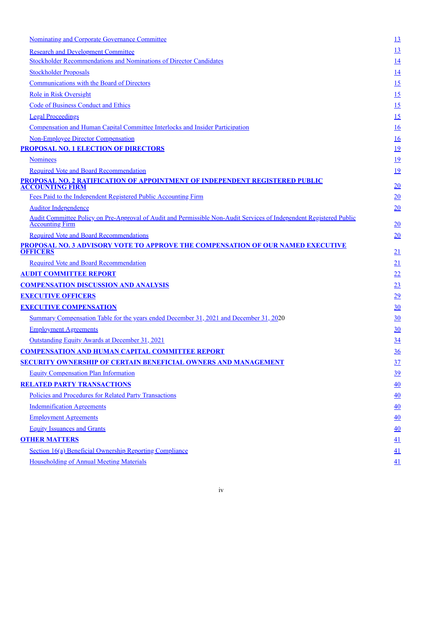| <b>Nominating and Corporate Governance Committee</b>                                                                                          | <u>13</u> |
|-----------------------------------------------------------------------------------------------------------------------------------------------|-----------|
| <b>Research and Development Committee</b>                                                                                                     | <u>13</u> |
| <b>Stockholder Recommendations and Nominations of Director Candidates</b>                                                                     | <u>14</u> |
| <b>Stockholder Proposals</b>                                                                                                                  | 14        |
| <b>Communications with the Board of Directors</b>                                                                                             | 15        |
| <b>Role in Risk Oversight</b>                                                                                                                 | 15        |
| <b>Code of Business Conduct and Ethics</b>                                                                                                    | 15        |
| <b>Legal Proceedings</b>                                                                                                                      | 15        |
| <u>Compensation and Human Capital Committee Interlocks and Insider Participation</u>                                                          | 16        |
| <b>Non-Employee Director Compensation</b>                                                                                                     | 16        |
| <b>PROPOSAL NO. 1 ELECTION OF DIRECTORS</b>                                                                                                   | <u>19</u> |
| <b>Nominees</b>                                                                                                                               | <u>19</u> |
| <b>Required Vote and Board Recommendation</b>                                                                                                 | <u>19</u> |
| PROPOSAL NO. 2 RATIFICATION OF APPOINTMENT OF INDEPENDENT REGISTERED PUBLIC<br><b>ACCOUNTING FIRM</b>                                         | 20        |
| Fees Paid to the Independent Registered Public Accounting Firm                                                                                | 20        |
| <b>Auditor Independence</b>                                                                                                                   | 20        |
| Audit Committee Policy on Pre-Approval of Audit and Permissible Non-Audit Services of Independent Registered Public<br><b>Accounting Firm</b> | 20        |
| <b>Required Vote and Board Recommendations</b>                                                                                                | 20        |
| PROPOSAL NO. 3 ADVISORY VOTE TO APPROVE THE COMPENSATION OF OUR NAMED EXECUTIVE<br><b>OFFICERS</b>                                            | 21        |
| <b>Required Vote and Board Recommendation</b>                                                                                                 | 21        |
| <b>AUDIT COMMITTEE REPORT</b>                                                                                                                 | 22        |
| <b>COMPENSATION DISCUSSION AND ANALYSIS</b>                                                                                                   | 23        |
| <b>EXECUTIVE OFFICERS</b>                                                                                                                     | 29        |
| <b>EXECUTIVE COMPENSATION</b>                                                                                                                 | 30        |
| Summary Compensation Table for the years ended December 31, 2021 and December 31, 2020                                                        | 30        |
| <b>Employment Agreements</b>                                                                                                                  | 30        |
| Outstanding Equity Awards at December 31, 2021                                                                                                | 34        |
| <b>COMPENSATION AND HUMAN CAPITAL COMMITTEE REPORT</b>                                                                                        | 36        |
| <u>SECURITY OWNERSHIP OF CERTAIN BENEFICIAL OWNERS AND MANAGEMENT</u>                                                                         | 37        |
| <b>Equity Compensation Plan Information</b>                                                                                                   | 39        |
| <b>RELATED PARTY TRANSACTIONS</b>                                                                                                             | 40        |
| Policies and Procedures for Related Party Transactions                                                                                        | 40        |
| <b>Indemnification Agreements</b>                                                                                                             | 40        |
| <b>Employment Agreements</b>                                                                                                                  | 40        |
| <b>Equity Issuances and Grants</b>                                                                                                            | 40        |
| <b>OTHER MATTERS</b>                                                                                                                          | 41        |
| Section 16(a) Beneficial Ownership Reporting Compliance                                                                                       | 41        |
| <b>Householding of Annual Meeting Materials</b>                                                                                               | 41        |
|                                                                                                                                               |           |

iv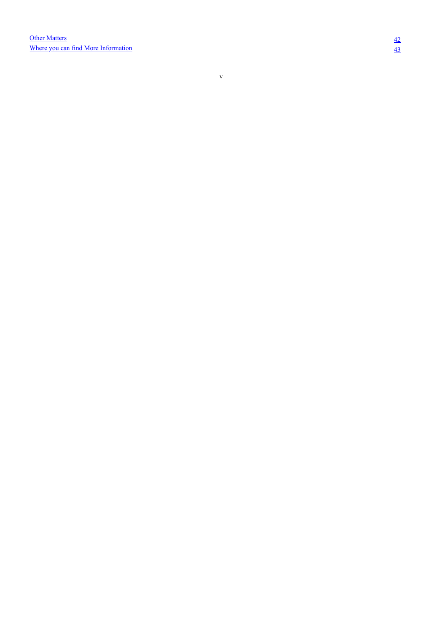<span id="page-4-0"></span>v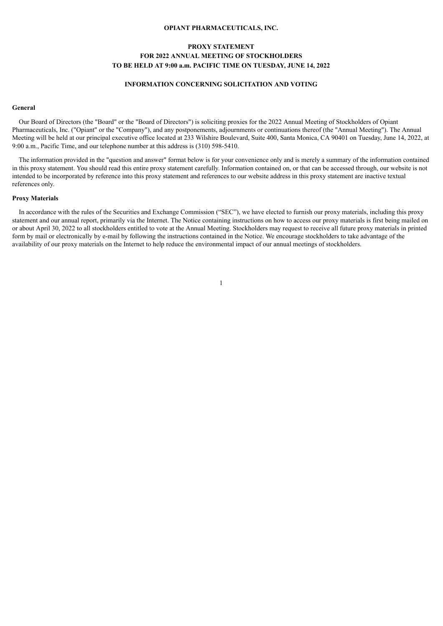### **OPIANT PHARMACEUTICALS, INC.**

# **PROXY STATEMENT FOR 2022 ANNUAL MEETING OF STOCKHOLDERS TO BE HELD AT 9:00 a.m. PACIFIC TIME ON TUESDAY, JUNE 14, 2022**

### **INFORMATION CONCERNING SOLICITATION AND VOTING**

#### **General**

Our Board of Directors (the "Board" or the "Board of Directors") is soliciting proxies for the 2022 Annual Meeting of Stockholders of Opiant Pharmaceuticals, Inc. ("Opiant" or the "Company"), and any postponements, adjournments or continuations thereof (the "Annual Meeting"). The Annual Meeting will be held at our principal executive office located at 233 Wilshire Boulevard, Suite 400, Santa Monica, CA 90401 on Tuesday, June 14, 2022, at 9:00 a.m., Pacific Time, and our telephone number at this address is (310) 598-5410.

The information provided in the "question and answer" format below is for your convenience only and is merely a summary of the information contained in this proxy statement. You should read this entire proxy statement carefully. Information contained on, or that can be accessed through, our website is not intended to be incorporated by reference into this proxy statement and references to our website address in this proxy statement are inactive textual references only.

#### **Proxy Materials**

<span id="page-5-0"></span>In accordance with the rules of the Securities and Exchange Commission ("SEC"), we have elected to furnish our proxy materials, including this proxy statement and our annual report, primarily via the Internet. The Notice containing instructions on how to access our proxy materials is first being mailed on or about April 30, 2022 to all stockholders entitled to vote at the Annual Meeting. Stockholders may request to receive all future proxy materials in printed form by mail or electronically by e-mail by following the instructions contained in the Notice. We encourage stockholders to take advantage of the availability of our proxy materials on the Internet to help reduce the environmental impact of our annual meetings of stockholders.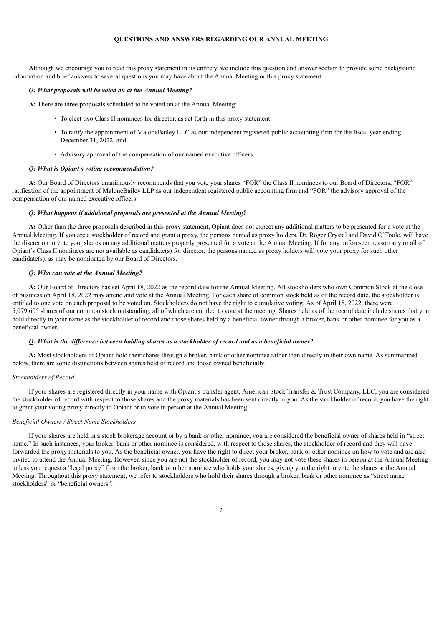### **QUESTIONS AND ANSWERS REGARDING OUR ANNUAL MEETING**

Although we encourage you to read this proxy statement in its entirety, we include this question and answer section to provide some background information and brief answers to several questions you may have about the Annual Meeting or this proxy statement.

#### *Q: What proposals will be voted on at the Annual Meeting?*

**A:** There are three proposals scheduled to be voted on at the Annual Meeting:

- To elect two Class II nominees for director, as set forth in this proxy statement;
- To ratify the appointment of MaloneBailey LLC as our independent registered public accounting firm for the fiscal year ending December 31, 2022; and
- Advisory approval of the compensation of our named executive officers.

#### *Q: What is Opiant's voting recommendation?*

**A:** Our Board of Directors unanimously recommends that you vote your shares "FOR" the Class II nominees to our Board of Directors, "FOR" ratification of the appointment of MaloneBailey LLP as our independent registered public accounting firm and "FOR" the advisory approval of the compensation of our named executive officers.

### *Q: What happens if additional proposals are presented at the Annual Meeting?*

**A:** Other than the three proposals described in this proxy statement, Opiant does not expect any additional matters to be presented for a vote at the Annual Meeting. If you are a stockholder of record and grant a proxy, the persons named as proxy holders, Dr. Roger Crystal and David O'Toole, will have the discretion to vote your shares on any additional matters properly presented for a vote at the Annual Meeting. If for any unforeseen reason any or all of Opiant's Class II nominees are not available as candidate(s) for director, the persons named as proxy holders will vote your proxy for such other candidate(s), as may be nominated by our Board of Directors.

### *Q: Who can vote at the Annual Meeting?*

**A:** Our Board of Directors has set April 18, 2022 as the record date for the Annual Meeting. All stockholders who own Common Stock at the close of business on April 18, 2022 may attend and vote at the Annual Meeting. For each share of common stock held as of the record date, the stockholder is entitled to one vote on each proposal to be voted on. Stockholders do not have the right to cumulative voting. As of April 18, 2022, there were 5,079,605 shares of our common stock outstanding, all of which are entitled to vote at the meeting. Shares held as of the record date include shares that you hold directly in your name as the stockholder of record and those shares held by a beneficial owner through a broker, bank or other nominee for you as a beneficial owner.

#### Q: What is the difference between holding shares as a stockholder of record and as a beneficial owner?

**A:** Most stockholders of Opiant hold their shares through a broker, bank or other nominee rather than directly in their own name. As summarized below, there are some distinctions between shares held of record and those owned beneficially.

#### *Stockholders of Record*

If your shares are registered directly in your name with Opiant's transfer agent, American Stock Transfer & Trust Company, LLC, you are considered the stockholder of record with respect to those shares and the proxy materials has been sent directly to you. As the stockholder of record, you have the right to grant your voting proxy directly to Opiant or to vote in person at the Annual Meeting.

#### *Beneficial Owners / Street Name Stockholders*

<span id="page-6-0"></span>If your shares are held in a stock brokerage account or by a bank or other nominee, you are considered the beneficial owner of shares held in "street name." In such instances, your broker, bank or other nominee is considered, with respect to those shares, the stockholder of record and they will have forwarded the proxy materials to you. As the beneficial owner, you have the right to direct your broker, bank or other nominee on how to vote and are also invited to attend the Annual Meeting. However, since you are not the stockholder of record, you may not vote these shares in person at the Annual Meeting unless you request a "legal proxy" from the broker, bank or other nominee who holds your shares, giving you the right to vote the shares at the Annual Meeting. Throughout this proxy statement, we refer to stockholders who hold their shares through a broker, bank or other nominee as "street name stockholders" or "beneficial owners".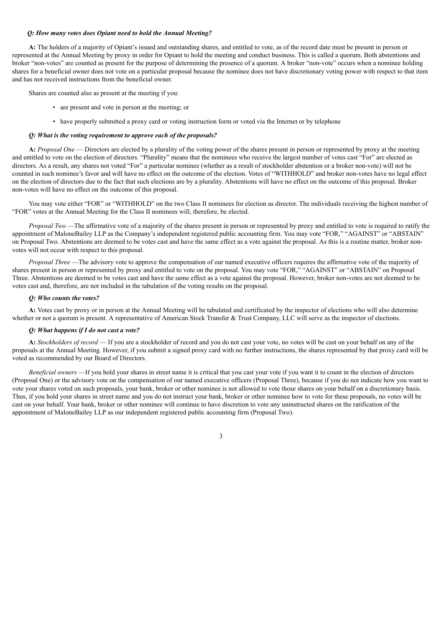#### *Q: How many votes does Opiant need to hold the Annual Meeting?*

**A:** The holders of a majority of Opiant's issued and outstanding shares, and entitled to vote, as of the record date must be present in person or represented at the Annual Meeting by proxy in order for Opiant to hold the meeting and conduct business. This is called a quorum. Both abstentions and broker "non-votes" are counted as present for the purpose of determining the presence of a quorum. A broker "non-vote" occurs when a nominee holding shares for a beneficial owner does not vote on a particular proposal because the nominee does not have discretionary voting power with respect to that item and has not received instructions from the beneficial owner.

Shares are counted also as present at the meeting if you:

- are present and vote in person at the meeting; or
- have properly submitted a proxy card or voting instruction form or voted via the Internet or by telephone

### *Q: What is the voting requirement to approve each of the proposals?*

**A:** *Proposal One* — Directors are elected by a plurality of the voting power of the shares present in person or represented by proxy at the meeting and entitled to vote on the election of directors. "Plurality" means that the nominees who receive the largest number of votes cast "For" are elected as directors. As a result, any shares not voted "For" a particular nominee (whether as a result of stockholder abstention or a broker non-vote) will not be counted in such nominee's favor and will have no effect on the outcome of the election. Votes of "WITHHOLD" and broker non-votes have no legal effect on the election of directors due to the fact that such elections are by a plurality. Abstentions will have no effect on the outcome of this proposal. Broker non-votes will have no effect on the outcome of this proposal.

You may vote either "FOR" or "WITHHOLD" on the two Class II nominees for election as director. The individuals receiving the highest number of "FOR" votes at the Annual Meeting for the Class II nominees will, therefore, be elected.

*Proposal Two* —The affirmative vote of a majority of the shares present in person or represented by proxy and entitled to vote is required to ratify the appointment of MaloneBailey LLP as the Company's independent registered public accounting firm. You may vote "FOR," "AGAINST" or "ABSTAIN" on Proposal Two. Abstentions are deemed to be votes cast and have the same effect as a vote against the proposal. As this is a routine matter, broker nonvotes will not occur with respect to this proposal.

*Proposal Three* —The advisory vote to approve the compensation of our named executive officers requires the affirmative vote of the majority of shares present in person or represented by proxy and entitled to vote on the proposal. You may vote "FOR," "AGAINST" or "ABSTAIN" on Proposal Three. Abstentions are deemed to be votes cast and have the same effect as a vote against the proposal. However, broker non-votes are not deemed to be votes cast and, therefore, are not included in the tabulation of the voting results on the proposal.

### *Q: Who counts the votes?*

**A:** Votes cast by proxy or in person at the Annual Meeting will be tabulated and certificated by the inspector of elections who will also determine whether or not a quorum is present. A representative of American Stock Transfer & Trust Company, LLC will serve as the inspector of elections.

### *Q: What happens if I do not cast a vote?*

**A:** *Stockholders of record* — If you are a stockholder of record and you do not cast your vote, no votes will be cast on your behalf on any of the proposals at the Annual Meeting. However, if you submit a signed proxy card with no further instructions, the shares represented by that proxy card will be voted as recommended by our Board of Directors.

<span id="page-7-0"></span>*Beneficial owners* —If you hold your shares in street name it is critical that you cast your vote if you want it to count in the election of directors (Proposal One) or the advisory vote on the compensation of our named executive officers (Proposal Three), because if you do not indicate how you want to vote your shares voted on such proposals, your bank, broker or other nominee is not allowed to vote those shares on your behalf on a discretionary basis. Thus, if you hold your shares in street name and you do not instruct your bank, broker or other nominee how to vote for these proposals, no votes will be cast on your behalf. Your bank, broker or other nominee will continue to have discretion to vote any uninstructed shares on the ratification of the appointment of MaloneBailey LLP as our independent registered public accounting firm (Proposal Two).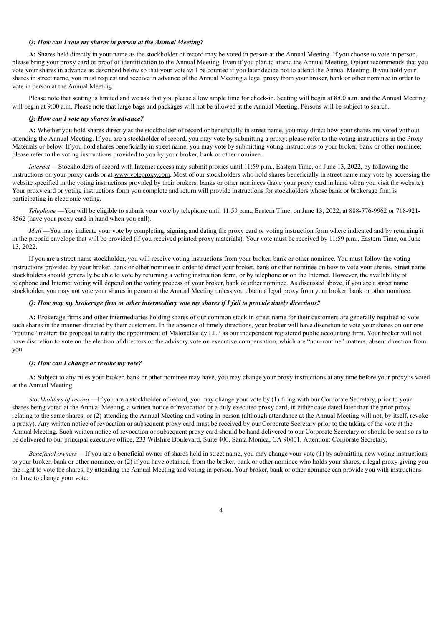### *Q: How can I vote my shares in person at the Annual Meeting?*

**A:** Shares held directly in your name as the stockholder of record may be voted in person at the Annual Meeting. If you choose to vote in person, please bring your proxy card or proof of identification to the Annual Meeting. Even if you plan to attend the Annual Meeting, Opiant recommends that you vote your shares in advance as described below so that your vote will be counted if you later decide not to attend the Annual Meeting. If you hold your shares in street name, you must request and receive in advance of the Annual Meeting a legal proxy from your broker, bank or other nominee in order to vote in person at the Annual Meeting.

Please note that seating is limited and we ask that you please allow ample time for check-in. Seating will begin at 8:00 a.m. and the Annual Meeting will begin at 9:00 a.m. Please note that large bags and packages will not be allowed at the Annual Meeting. Persons will be subject to search.

### *Q: How can I vote my shares in advance?*

**A:** Whether you hold shares directly as the stockholder of record or beneficially in street name, you may direct how your shares are voted without attending the Annual Meeting. If you are a stockholder of record, you may vote by submitting a proxy; please refer to the voting instructions in the Proxy Materials or below. If you hold shares beneficially in street name, you may vote by submitting voting instructions to your broker, bank or other nominee; please refer to the voting instructions provided to you by your broker, bank or other nominee.

*Internet* —Stockholders of record with Internet access may submit proxies until 11:59 p.m., Eastern Time, on June 13, 2022, by following the instructions on your proxy cards or at www.voteproxy.com. Most of our stockholders who hold shares beneficially in street name may vote by accessing the website specified in the voting instructions provided by their brokers, banks or other nominees (have your proxy card in hand when you visit the website). Your proxy card or voting instructions form you complete and return will provide instructions for stockholders whose bank or brokerage firm is participating in electronic voting.

*Telephone* —You will be eligible to submit your vote by telephone until 11:59 p.m., Eastern Time, on June 13, 2022, at 888-776-9962 or 718-921- 8562 (have your proxy card in hand when you call).

*Mail* —You may indicate your vote by completing, signing and dating the proxy card or voting instruction form where indicated and by returning it in the prepaid envelope that will be provided (if you received printed proxy materials). Your vote must be received by 11:59 p.m., Eastern Time, on June 13, 2022.

If you are a street name stockholder, you will receive voting instructions from your broker, bank or other nominee. You must follow the voting instructions provided by your broker, bank or other nominee in order to direct your broker, bank or other nominee on how to vote your shares. Street name stockholders should generally be able to vote by returning a voting instruction form, or by telephone or on the Internet. However, the availability of telephone and Internet voting will depend on the voting process of your broker, bank or other nominee. As discussed above, if you are a street name stockholder, you may not vote your shares in person at the Annual Meeting unless you obtain a legal proxy from your broker, bank or other nominee.

### Q: How may my brokerage firm or other intermediary vote my shares if I fail to provide timely directions?

**A:** Brokerage firms and other intermediaries holding shares of our common stock in street name for their customers are generally required to vote such shares in the manner directed by their customers. In the absence of timely directions, your broker will have discretion to vote your shares on our one "routine" matter: the proposal to ratify the appointment of MaloneBailey LLP as our independent registered public accounting firm. Your broker will not have discretion to vote on the election of directors or the advisory vote on executive compensation, which are "non-routine" matters, absent direction from you.

### *Q: How can I change or revoke my vote?*

**A:** Subject to any rules your broker, bank or other nominee may have, you may change your proxy instructions at any time before your proxy is voted at the Annual Meeting.

*Stockholders of record* —If you are a stockholder of record, you may change your vote by (1) filing with our Corporate Secretary, prior to your shares being voted at the Annual Meeting, a written notice of revocation or a duly executed proxy card, in either case dated later than the prior proxy relating to the same shares, or (2) attending the Annual Meeting and voting in person (although attendance at the Annual Meeting will not, by itself, revoke a proxy). Any written notice of revocation or subsequent proxy card must be received by our Corporate Secretary prior to the taking of the vote at the Annual Meeting. Such written notice of revocation or subsequent proxy card should be hand delivered to our Corporate Secretary or should be sent so as to be delivered to our principal executive office, 233 Wilshire Boulevard, Suite 400, Santa Monica, CA 90401, Attention: Corporate Secretary.

*Beneficial owners* —If you are a beneficial owner of shares held in street name, you may change your vote (1) by submitting new voting instructions to your broker, bank or other nominee, or (2) if you have obtained, from the broker, bank or other nominee who holds your shares, a legal proxy giving you the right to vote the shares, by attending the Annual Meeting and voting in person. Your broker, bank or other nominee can provide you with instructions on how to change your vote.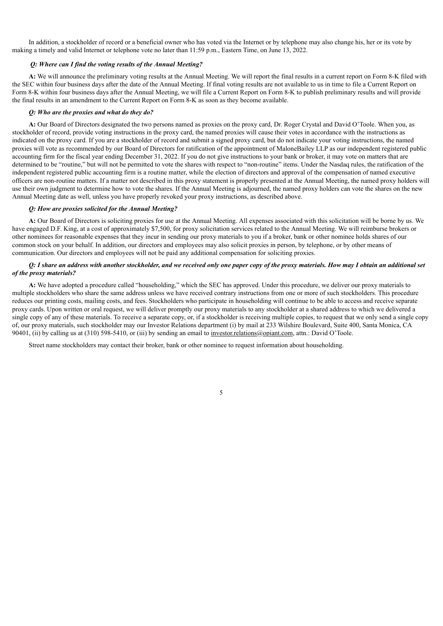In addition, a stockholder of record or a beneficial owner who has voted via the Internet or by telephone may also change his, her or its vote by making a timely and valid Internet or telephone vote no later than 11:59 p.m., Eastern Time, on June 13, 2022.

### *Q: Where can I find the voting results of the Annual Meeting?*

**A:** We will announce the preliminary voting results at the Annual Meeting. We will report the final results in a current report on Form 8-K filed with the SEC within four business days after the date of the Annual Meeting. If final voting results are not available to us in time to file a Current Report on Form 8-K within four business days after the Annual Meeting, we will file a Current Report on Form 8-K to publish preliminary results and will provide the final results in an amendment to the Current Report on Form 8-K as soon as they become available.

### *Q: Who are the proxies and what do they do?*

**A:** Our Board of Directors designated the two persons named as proxies on the proxy card, Dr. Roger Crystal and David O'Toole. When you, as stockholder of record, provide voting instructions in the proxy card, the named proxies will cause their votes in accordance with the instructions as indicated on the proxy card. If you are a stockholder of record and submit a signed proxy card, but do not indicate your voting instructions, the named proxies will vote as recommended by our Board of Directors for ratification of the appointment of MaloneBailey LLP as our independent registered public accounting firm for the fiscal year ending December 31, 2022. If you do not give instructions to your bank or broker, it may vote on matters that are determined to be "routine," but will not be permitted to vote the shares with respect to "non-routine" items. Under the Nasdaq rules, the ratification of the independent registered public accounting firm is a routine matter, while the election of directors and approval of the compensation of named executive officers are non-routine matters. If a matter not described in this proxy statement is properly presented at the Annual Meeting, the named proxy holders will use their own judgment to determine how to vote the shares. If the Annual Meeting is adjourned, the named proxy holders can vote the shares on the new Annual Meeting date as well, unless you have properly revoked your proxy instructions, as described above.

### *Q: How are proxies solicited for the Annual Meeting?*

**A:** Our Board of Directors is soliciting proxies for use at the Annual Meeting. All expenses associated with this solicitation will be borne by us. We have engaged D.F. King, at a cost of approximately \$7,500, for proxy solicitation services related to the Annual Meeting. We will reimburse brokers or other nominees for reasonable expenses that they incur in sending our proxy materials to you if a broker, bank or other nominee holds shares of our common stock on your behalf. In addition, our directors and employees may also solicit proxies in person, by telephone, or by other means of communication. Our directors and employees will not be paid any additional compensation for soliciting proxies.

### O: I share an address with another stockholder, and we received only one paper copy of the proxy materials. How may I obtain an additional set *of the proxy materials?*

**A:** We have adopted a procedure called "householding," which the SEC has approved. Under this procedure, we deliver our proxy materials to multiple stockholders who share the same address unless we have received contrary instructions from one or more of such stockholders. This procedure reduces our printing costs, mailing costs, and fees. Stockholders who participate in householding will continue to be able to access and receive separate proxy cards. Upon written or oral request, we will deliver promptly our proxy materials to any stockholder at a shared address to which we delivered a single copy of any of these materials. To receive a separate copy, or, if a stockholder is receiving multiple copies, to request that we only send a single copy of, our proxy materials, such stockholder may our Investor Relations department (i) by mail at 233 Wilshire Boulevard, Suite 400, Santa Monica, CA 90401, (ii) by calling us at (310) 598-5410, or (iii) by sending an email to investor.relations@opiant.com, attn.: David O'Toole.

<span id="page-9-0"></span>Street name stockholders may contact their broker, bank or other nominee to request information about householding.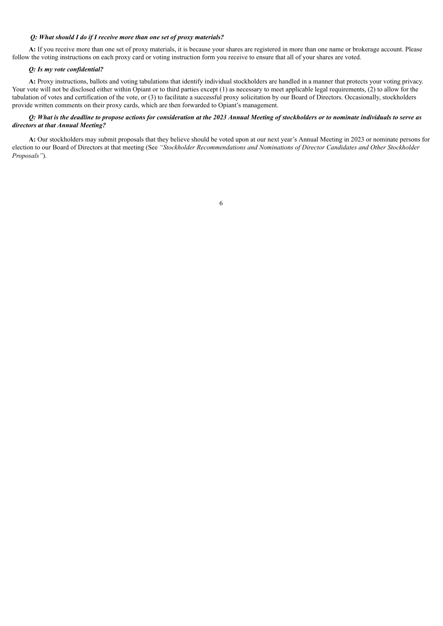### *Q: What should I do if I receive more than one set of proxy materials?*

**A:** If you receive more than one set of proxy materials, it is because your shares are registered in more than one name or brokerage account. Please follow the voting instructions on each proxy card or voting instruction form you receive to ensure that all of your shares are voted.

# *Q: Is my vote confidential?*

**A:** Proxy instructions, ballots and voting tabulations that identify individual stockholders are handled in a manner that protects your voting privacy. Your vote will not be disclosed either within Opiant or to third parties except (1) as necessary to meet applicable legal requirements, (2) to allow for the tabulation of votes and certification of the vote, or (3) to facilitate a successful proxy solicitation by our Board of Directors. Occasionally, stockholders provide written comments on their proxy cards, which are then forwarded to Opiant's management.

## Q: What is the deadline to propose actions for consideration at the 2023 Annual Meeting of stockholders or to nominate individuals to serve as *directors at that Annual Meeting?*

<span id="page-10-0"></span>**A:** Our stockholders may submit proposals that they believe should be voted upon at our next year's Annual Meeting in 2023 or nominate persons for election to our Board of Directors at that meeting (See *"Stockholder Recommendations and Nominations of Director Candidates and Other Stockholder Proposals"*).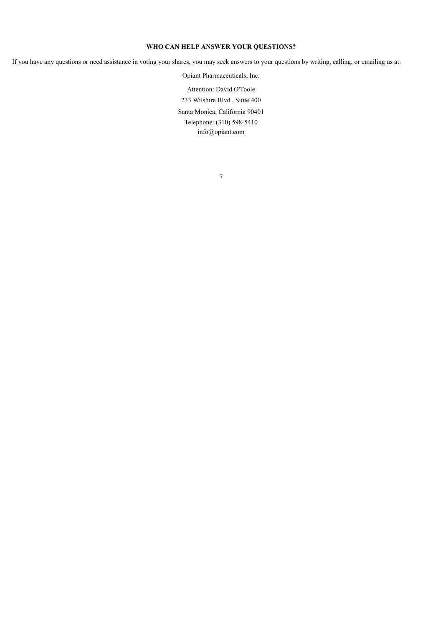# **WHO CAN HELP ANSWER YOUR QUESTIONS?**

<span id="page-11-0"></span>If you have any questions or need assistance in voting your shares, you may seek answers to your questions by writing, calling, or emailing us at:

Opiant Pharmaceuticals, Inc. Attention: David O'Toole 233 Wilshire Blvd., Suite 400 Santa Monica, California 90401 Telephone: (310) 598-5410 info@opiant.com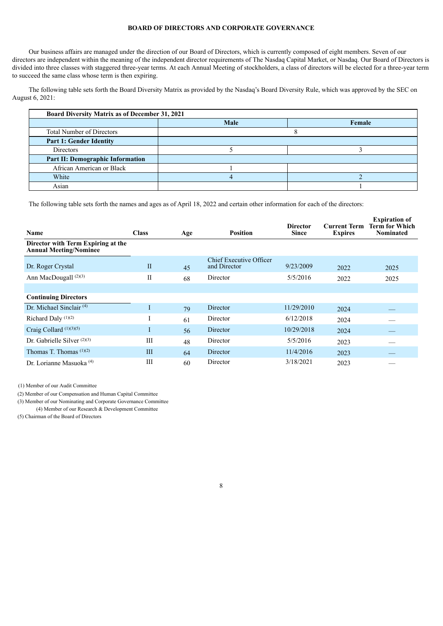### **BOARD OF DIRECTORS AND CORPORATE GOVERNANCE**

Our business affairs are managed under the direction of our Board of Directors, which is currently composed of eight members. Seven of our directors are independent within the meaning of the independent director requirements of The Nasdaq Capital Market, or Nasdaq. Our Board of Directors is divided into three classes with staggered three-year terms. At each Annual Meeting of stockholders, a class of directors will be elected for a three-year term to succeed the same class whose term is then expiring.

The following table sets forth the Board Diversity Matrix as provided by the Nasdaq's Board Diversity Rule, which was approved by the SEC on August 6, 2021:

| <b>Board Diversity Matrix as of December 31, 2021</b> |      |        |  |  |  |
|-------------------------------------------------------|------|--------|--|--|--|
|                                                       | Male | Female |  |  |  |
| <b>Total Number of Directors</b>                      |      |        |  |  |  |
| <b>Part 1: Gender Identity</b>                        |      |        |  |  |  |
| Directors                                             |      |        |  |  |  |
| <b>Part II: Demographic Information</b>               |      |        |  |  |  |
| African American or Black                             |      |        |  |  |  |
| White                                                 |      |        |  |  |  |
| Asian                                                 |      |        |  |  |  |

**Expiration of**

The following table sets forth the names and ages as of April 18, 2022 and certain other information for each of the directors:

| Name                                                                | <b>Class</b> | Age | <b>Position</b>                                | <b>Director</b><br><b>Since</b> | <b>Current Term</b><br><b>Expires</b> | <b>Expiration of</b><br>Term for Which<br><b>Nominated</b> |
|---------------------------------------------------------------------|--------------|-----|------------------------------------------------|---------------------------------|---------------------------------------|------------------------------------------------------------|
| Director with Term Expiring at the<br><b>Annual Meeting/Nominee</b> |              |     |                                                |                                 |                                       |                                                            |
| Dr. Roger Crystal                                                   | $\mathbf{I}$ | 45  | <b>Chief Executive Officer</b><br>and Director | 9/23/2009                       | 2022                                  | 2025                                                       |
| Ann MacDougall <sup>(2)(3)</sup>                                    | $\mathbf{I}$ | 68  | Director                                       | 5/5/2016                        | 2022                                  | 2025                                                       |
|                                                                     |              |     |                                                |                                 |                                       |                                                            |
| <b>Continuing Directors</b>                                         |              |     |                                                |                                 |                                       |                                                            |
| Dr. Michael Sinclair <sup><math>(4)</math></sup>                    | $\perp$      | 79  | Director                                       | 11/29/2010                      | 2024                                  |                                                            |
| Richard Daly $(1)(2)$                                               |              | 61  | Director                                       | 6/12/2018                       | 2024                                  |                                                            |
| Craig Collard $(1)(3)(5)$                                           | $\pm$        | 56  | Director                                       | 10/29/2018                      | 2024                                  |                                                            |
| Dr. Gabrielle Silver $(2)(3)$                                       | III          | 48  | Director                                       | 5/5/2016                        | 2023                                  |                                                            |
| Thomas T. Thomas $(1)(2)$                                           | III          | 64  | Director                                       | 11/4/2016                       | 2023                                  |                                                            |
| Dr. Lorianne Masuoka <sup>(4)</sup>                                 | Ш            | 60  | Director                                       | 3/18/2021                       | 2023                                  |                                                            |

(1) Member of our Audit Committee

(2) Member of our Compensation and Human Capital Committee

(3) Member of our Nominating and Corporate Governance Committee

(4) Member of our Research & Development Committee

<span id="page-12-0"></span>(5) Chairman of the Board of Directors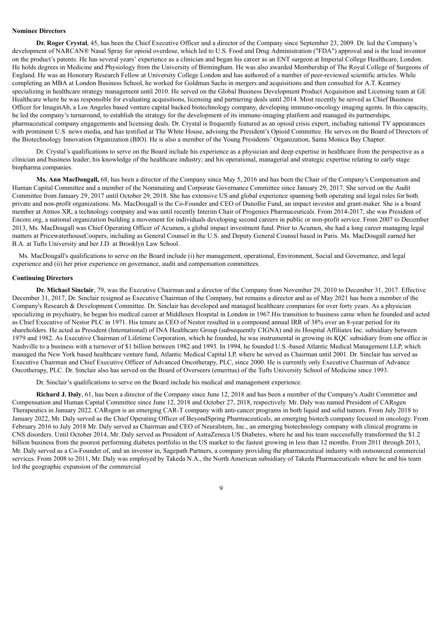#### **Nominee Directors**

**Dr. Roger Crystal**, 45, has been the Chief Executive Officer and a director of the Company since September 23, 2009. Dr. led the Company's development of NARCAN® Nasal Spray for opioid overdose, which led to U.S. Food and Drug Administration ("FDA") approval and is the lead inventor on the product's patents. He has several years' experience as a clinician and began his career as an ENT surgeon at Imperial College Healthcare, London. He holds degrees in Medicine and Physiology from the University of Birmingham. He was also awarded Membership of The Royal College of Surgeons of England. He was an Honorary Research Fellow at University College London and has authored of a number of peer-reviewed scientific articles. While completing an MBA at London Business School, he worked for Goldman Sachs in mergers and acquisitions and then consulted for A.T. Kearney specializing in healthcare strategy management until 2010. He served on the Global Business Development Product Acquisition and Licensing team at GE Healthcare where he was responsible for evaluating acquisitions, licensing and partnering deals until 2014. Most recently he served as Chief Business Officer for ImaginAb, a Los Angeles based venture capital backed biotechnology company, developing immuno-oncology imaging agents. In this capacity, he led the company's turnaround, to establish the strategy for the development of its immune-imaging platform and managed its partnerships, pharmaceutical company engagements and licensing deals. Dr. Crystal is frequently featured as an opioid crisis expert, including national TV appearances with prominent U.S. news media, and has testified at The White House, advising the President's Opioid Committee. He serves on the Board of Directors of the Biotechnology Innovation Organization (BIO). He is also a member of the Young Presidents' Organization, Santa Monica Bay Chapter.

Dr. Crystal's qualifications to serve on the Board include his experience as a physician and deep expertise in healthcare from the perspective as a clinician and business leader; his knowledge of the healthcare industry; and his operational, managerial and strategic expertise relating to early stage biopharma companies.

**Ms. Ann MacDougall,** 68, has been a director of the Company since May 5, 2016 and has been the Chair of the Company's Compensation and Human Capital Committee and a member of the Nominating and Corporate Governance Committee since January 29, 2017. She served on the Audit Committee from January 29, 2017 until October 29, 2018. She has extensive US and global experience spanning both operating and legal roles for both private and non-profit organizations. Ms. MacDougall is the Co-Founder and CEO of Dunollie Fund, an impact investor and grant-maker. She is a board member at Atmos XR, a technology company and was until recently Interim Chair of Progenics Pharmaceuticals. From 2014-2017, she was President of Encore.org, a national organization building a movement for individuals developing second careers in public or non-profit service. From 2007 to December 2013, Ms. MacDougall was Chief Operating Officer of Acumen, a global impact investment fund. Prior to Acumen, she had a long career managing legal matters at PricewaterhouseCoopers, including as General Counsel in the U.S. and Deputy General Counsel based in Paris. Ms. MacDougall earned her B.A. at Tufts University and her J.D. at Brooklyn Law School.

Ms. MacDougall's qualifications to serve on the Board include (i) her management, operational, Environment, Social and Governance, and legal experience and (ii) her prior experience on governance, audit and compensation committees.

#### <span id="page-13-0"></span>**Continuing Directors**

**Dr. Michael Sinclair**, 79, was the Executive Chairman and a director of the Company from November 29, 2010 to December 31, 2017. Effective December 31, 2017, Dr. Sinclair resigned as Executive Chairman of the Company, but remains a director and as of May 2021 has been a member of the Company's Research & Development Committee. Dr. Sinclair has developed and managed healthcare companies for over forty years. As a physician specializing in psychiatry, he began his medical career at Middlesex Hospital in London in 1967.His transition to business came when he founded and acted as Chief Executive of Nestor PLC in 1971. His tenure as CEO of Nestor resulted in a compound annual IRR of 38% over an 8-year period for its shareholders. He acted as President (International) of INA Healthcare Group (subsequently CIGNA) and its Hospital Affiliates Inc. subsidiary between 1979 and 1982. As Executive Chairman of Lifetime Corporation, which he founded, he was instrumental in growing its KQC subsidiary from one office in Nashville to a business with a turnover of \$1 billion between 1982 and 1993. In 1994, he founded U.S.-based Atlantic Medical Management LLP, which managed the New York based healthcare venture fund, Atlantic Medical Capital LP, where he served as Chairman until 2001. Dr. Sinclair has served as Executive Chairman and Chief Executive Officer of Advanced Oncotherapy, PLC, since 2000. He is currently only Executive Chairman of Advance Oncotherapy, PLC. Dr. Sinclair also has served on the Board of Overseers (emeritus) of the Tufts University School of Medicine since 1993.

Dr. Sinclair's qualifications to serve on the Board include his medical and management experience.

**Richard J. Daly**, 61, has been a director of the Company since June 12, 2018 and has been a member of the Company's Audit Committee and Compensation and Human Capital Committee since June 12, 2018 and October 27, 2018, respectively. Mr. Daly was named President of CARsgen Therapeutics in January 2022. CARsgen is an emerging CAR-T company with anti-cancer programs in both liquid and solid tumors. From July 2018 to January 2022, Mr. Daly served as the Chief Operating Officer of BeyondSpring Pharmaceuticals, an emerging biotech company focused in oncology. From February 2016 to July 2018 Mr. Daly served as Chairman and CEO of Neuralstem, Inc., an emerging biotechnology company with clinical programs in CNS disorders. Until October 2014, Mr. Daly served as President of AstraZeneca US Diabetes, where he and his team successfully transformed the \$1.2 billion business from the poorest performing diabetes portfolio in the US market to the fastest growing in less than 12 months. From 2011 through 2013, Mr. Daly served as a Co-Founder of, and an investor in, Sagepath Partners, a company providing the pharmaceutical industry with outsourced commercial services. From 2008 to 2011, Mr. Daly was employed by Takeda N.A., the North American subsidiary of Takeda Pharmaceuticals where he and his team led the geographic expansion of the commercial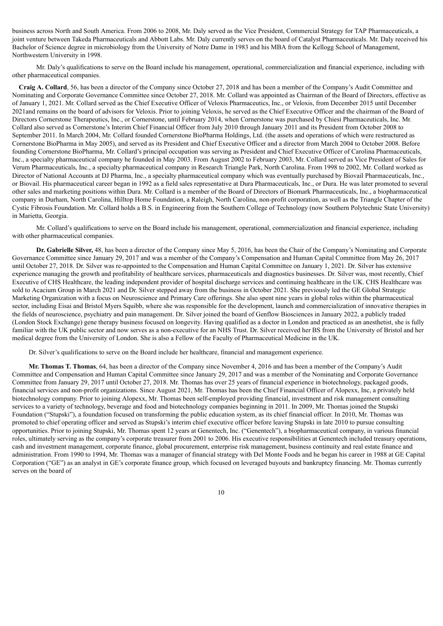business across North and South America. From 2006 to 2008, Mr. Daly served as the Vice President, Commercial Strategy for TAP Pharmaceuticals, a joint venture between Takeda Pharmaceuticals and Abbott Labs. Mr. Daly currently serves on the board of Catalyst Pharmaceuticals. Mr. Daly received his Bachelor of Science degree in microbiology from the University of Notre Dame in 1983 and his MBA from the Kellogg School of Management, Northwestern University in 1998.

Mr. Daly's qualifications to serve on the Board include his management, operational, commercialization and financial experience, including with other pharmaceutical companies.

**Craig A. Collard**, 56, has been a director of the Company since October 27, 2018 and has been a member of the Company's Audit Committee and Nominating and Corporate Governance Committee since October 27, 2018. Mr. Collard was appointed as Chairman of the Board of Directors, effective as of January 1, 2021. Mr. Collard served as the Chief Executive Officer of Veloxis Pharmaceutics, Inc., or Veloxis, from December 2015 until December 2021and remains on the board of advisors for Veloxis. Prior to joining Veloxis, he served as the Chief Executive Officer and the chairman of the Board of Directors Cornerstone Therapeutics, Inc., or Cornerstone, until February 2014, when Cornerstone was purchased by Chiesi Pharmaceuticals, Inc. Mr. Collard also served as Cornerstone's Interim Chief Financial Officer from July 2010 through January 2011 and its President from October 2008 to September 2011. In March 2004, Mr. Collard founded Cornerstone BioPharma Holdings, Ltd. (the assets and operations of which were restructured as Cornerstone BioPharma in May 2005), and served as its President and Chief Executive Officer and a director from March 2004 to October 2008. Before founding Cornerstone BioPharma, Mr. Collard's principal occupation was serving as President and Chief Executive Officer of Carolina Pharmaceuticals, Inc., a specialty pharmaceutical company he founded in May 2003. From August 2002 to February 2003, Mr. Collard served as Vice President of Sales for Verum Pharmaceuticals, Inc., a specialty pharmaceutical company in Research Triangle Park, North Carolina. From 1998 to 2002, Mr. Collard worked as Director of National Accounts at DJ Pharma, Inc., a specialty pharmaceutical company which was eventually purchased by Biovail Pharmaceuticals, Inc., or Biovail. His pharmaceutical career began in 1992 as a field sales representative at Dura Pharmaceuticals, Inc., or Dura. He was later promoted to several other sales and marketing positions within Dura. Mr. Collard is a member of the Board of Directors of Biomark Pharmaceuticals, Inc., a biopharmaceutical company in Durham, North Carolina, Hilltop Home Foundation, a Raleigh, North Carolina, non-profit corporation, as well as the Triangle Chapter of the Cystic Fibrosis Foundation. Mr. Collard holds a B.S. in Engineering from the Southern College of Technology (now Southern Polytechnic State University) in Marietta, Georgia.

Mr. Collard's qualifications to serve on the Board include his management, operational, commercialization and financial experience, including with other pharmaceutical companies.

**Dr. Gabrielle Silver,** 48, has been a director of the Company since May 5, 2016, has been the Chair of the Company's Nominating and Corporate Governance Committee since January 29, 2017 and was a member of the Company's Compensation and Human Capital Committee from May 26, 2017 until October 27, 2018. Dr. Silver was re-appointed to the Compensation and Human Capital Committee on January 1, 2021. Dr. Silver has extensive experience managing the growth and profitability of healthcare services, pharmaceuticals and diagnostics businesses. Dr. Silver was, most recently, Chief Executive of CHS Healthcare, the leading independent provider of hospital discharge services and continuing healthcare in the UK. CHS Healthcare was sold to Acacium Group in March 2021 and Dr. Silver stepped away from the business in October 2021. She previously led the GE Global Strategic Marketing Organization with a focus on Neuroscience and Primary Care offerings. She also spent nine years in global roles within the pharmaceutical sector, including Eisai and Bristol Myers Squibb, where she was responsible for the development, launch and commercialization of innovative therapies in the fields of neuroscience, psychiatry and pain management. Dr. Silver joined the board of Genflow Biosciences in January 2022, a publicly traded (London Stock Exchange) gene therapy business focused on longevity. Having qualified as a doctor in London and practiced as an anesthetist, she is fully familiar with the UK public sector and now serves as a non-executive for an NHS Trust. Dr. Silver received her BS from the University of Bristol and her medical degree from the University of London. She is also a Fellow of the Faculty of Pharmaceutical Medicine in the UK.

Dr. Silver's qualifications to serve on the Board include her healthcare, financial and management experience.

**Mr. Thomas T. Thomas**, 64, has been a director of the Company since November 4, 2016 and has been a member of the Company's Audit Committee and Compensation and Human Capital Committee since January 29, 2017 and was a member of the Nominating and Corporate Governance Committee from January 29, 2017 until October 27, 2018. Mr. Thomas has over 25 years of financial experience in biotechnology, packaged goods, financial services and non-profit organizations. Since August 2021, Mr. Thomas has been the Chief Financial Officer of Alopexx, Inc, a privately held biotechnology company. Prior to joining Alopexx, Mr. Thomas been self-employed providing financial, investment and risk management consulting services to a variety of technology, beverage and food and biotechnology companies beginning in 2011. In 2009, Mr. Thomas joined the Stupski Foundation ("Stupski"), a foundation focused on transforming the public education system, as its chief financial officer. In 2010, Mr. Thomas was promoted to chief operating officer and served as Stupski's interim chief executive officer before leaving Stupski in late 2010 to pursue consulting opportunities. Prior to joining Stupski, Mr. Thomas spent 12 years at Genentech, Inc. ("Genentech"), a biopharmaceutical company, in various financial roles, ultimately serving as the company's corporate treasurer from 2001 to 2006. His executive responsibilities at Genentech included treasury operations, cash and investment management, corporate finance, global procurement, enterprise risk management, business continuity and real estate finance and administration. From 1990 to 1994, Mr. Thomas was a manager of financial strategy with Del Monte Foods and he began his career in 1988 at GE Capital Corporation ("GE") as an analyst in GE's corporate finance group, which focused on leveraged buyouts and bankruptcy financing. Mr. Thomas currently serves on the board of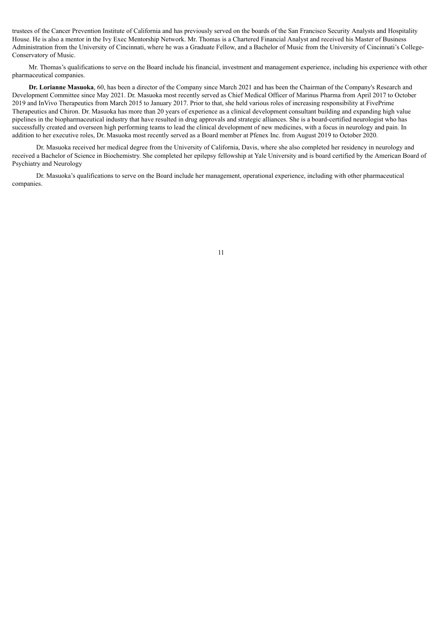trustees of the Cancer Prevention Institute of California and has previously served on the boards of the San Francisco Security Analysts and Hospitality House. He is also a mentor in the Ivy Exec Mentorship Network. Mr. Thomas is a Chartered Financial Analyst and received his Master of Business Administration from the University of Cincinnati, where he was a Graduate Fellow, and a Bachelor of Music from the University of Cincinnati's College-Conservatory of Music.

Mr. Thomas's qualifications to serve on the Board include his financial, investment and management experience, including his experience with other pharmaceutical companies.

**Dr. Lorianne Masuoka**, 60, has been a director of the Company since March 2021 and has been the Chairman of the Company's Research and Development Committee since May 2021. Dr. Masuoka most recently served as Chief Medical Officer of Marinus Pharma from April 2017 to October 2019 and InVivo Therapeutics from March 2015 to January 2017. Prior to that, she held various roles of increasing responsibility at FivePrime Therapeutics and Chiron. Dr. Masuoka has more than 20 years of experience as a clinical development consultant building and expanding high value pipelines in the biopharmaceutical industry that have resulted in drug approvals and strategic alliances. She is a board-certified neurologist who has successfully created and overseen high performing teams to lead the clinical development of new medicines, with a focus in neurology and pain. In addition to her executive roles, Dr. Masuoka most recently served as a Board member at Pfenex Inc. from August 2019 to October 2020.

Dr. Masuoka received her medical degree from the University of California, Davis, where she also completed her residency in neurology and received a Bachelor of Science in Biochemistry. She completed her epilepsy fellowship at Yale University and is board certified by the American Board of Psychiatry and Neurology

<span id="page-15-0"></span>Dr. Masuoka's qualifications to serve on the Board include her management, operational experience, including with other pharmaceutical companies.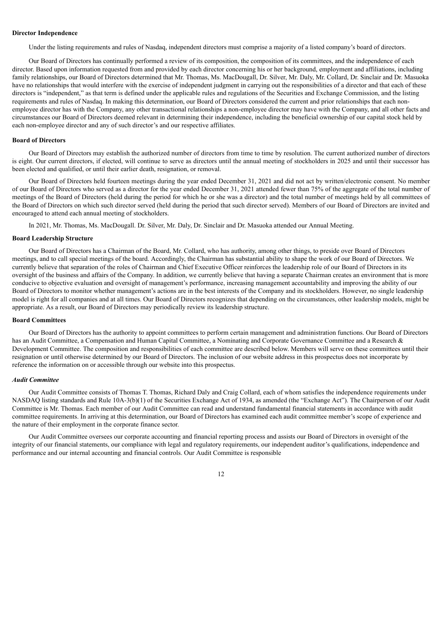#### **Director Independence**

Under the listing requirements and rules of Nasdaq, independent directors must comprise a majority of a listed company's board of directors.

Our Board of Directors has continually performed a review of its composition, the composition of its committees, and the independence of each director. Based upon information requested from and provided by each director concerning his or her background, employment and affiliations, including family relationships, our Board of Directors determined that Mr. Thomas, Ms. MacDougall, Dr. Silver, Mr. Daly, Mr. Collard, Dr. Sinclair and Dr. Masuoka have no relationships that would interfere with the exercise of independent judgment in carrying out the responsibilities of a director and that each of these directors is "independent," as that term is defined under the applicable rules and regulations of the Securities and Exchange Commission, and the listing requirements and rules of Nasdaq. In making this determination, our Board of Directors considered the current and prior relationships that each nonemployee director has with the Company, any other transactional relationships a non-employee director may have with the Company, and all other facts and circumstances our Board of Directors deemed relevant in determining their independence, including the beneficial ownership of our capital stock held by each non-employee director and any of such director's and our respective affiliates.

#### <span id="page-16-0"></span>**Board of Directors**

Our Board of Directors may establish the authorized number of directors from time to time by resolution. The current authorized number of directors is eight. Our current directors, if elected, will continue to serve as directors until the annual meeting of stockholders in 2025 and until their successor has been elected and qualified, or until their earlier death, resignation, or removal.

Our Board of Directors held fourteen meetings during the year ended December 31, 2021 and did not act by written/electronic consent. No member of our Board of Directors who served as a director for the year ended December 31, 2021 attended fewer than 75% of the aggregate of the total number of meetings of the Board of Directors (held during the period for which he or she was a director) and the total number of meetings held by all committees of the Board of Directors on which such director served (held during the period that such director served). Members of our Board of Directors are invited and encouraged to attend each annual meeting of stockholders.

In 2021, Mr. Thomas, Ms. MacDougall. Dr. Silver, Mr. Daly, Dr. Sinclair and Dr. Masuoka attended our Annual Meeting.

### <span id="page-16-1"></span>**Board Leadership Structure**

Our Board of Directors has a Chairman of the Board, Mr. Collard, who has authority, among other things, to preside over Board of Directors meetings, and to call special meetings of the board. Accordingly, the Chairman has substantial ability to shape the work of our Board of Directors. We currently believe that separation of the roles of Chairman and Chief Executive Officer reinforces the leadership role of our Board of Directors in its oversight of the business and affairs of the Company. In addition, we currently believe that having a separate Chairman creates an environment that is more conducive to objective evaluation and oversight of management's performance, increasing management accountability and improving the ability of our Board of Directors to monitor whether management's actions are in the best interests of the Company and its stockholders. However, no single leadership model is right for all companies and at all times. Our Board of Directors recognizes that depending on the circumstances, other leadership models, might be appropriate. As a result, our Board of Directors may periodically review its leadership structure.

#### <span id="page-16-2"></span>**Board Committees**

Our Board of Directors has the authority to appoint committees to perform certain management and administration functions. Our Board of Directors has an Audit Committee, a Compensation and Human Capital Committee, a Nominating and Corporate Governance Committee and a Research & Development Committee. The composition and responsibilities of each committee are described below. Members will serve on these committees until their resignation or until otherwise determined by our Board of Directors. The inclusion of our website address in this prospectus does not incorporate by reference the information on or accessible through our website into this prospectus.

### <span id="page-16-3"></span>*Audit Committee*

Our Audit Committee consists of Thomas T. Thomas, Richard Daly and Craig Collard, each of whom satisfies the independence requirements under NASDAQ listing standards and Rule 10A-3(b)(1) of the Securities Exchange Act of 1934, as amended (the "Exchange Act"). The Chairperson of our Audit Committee is Mr. Thomas. Each member of our Audit Committee can read and understand fundamental financial statements in accordance with audit committee requirements. In arriving at this determination, our Board of Directors has examined each audit committee member's scope of experience and the nature of their employment in the corporate finance sector.

Our Audit Committee oversees our corporate accounting and financial reporting process and assists our Board of Directors in oversight of the integrity of our financial statements, our compliance with legal and regulatory requirements, our independent auditor's qualifications, independence and performance and our internal accounting and financial controls. Our Audit Committee is responsible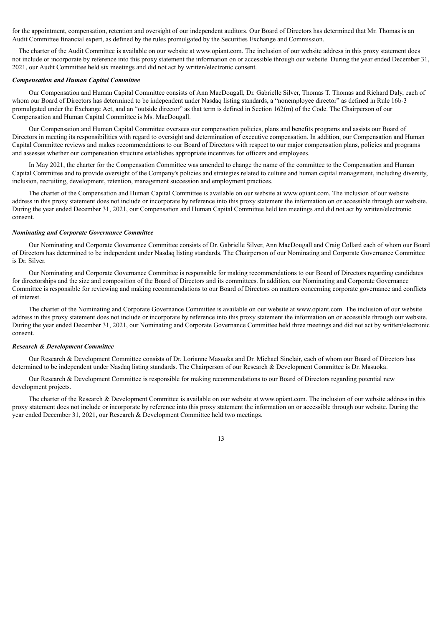for the appointment, compensation, retention and oversight of our independent auditors. Our Board of Directors has determined that Mr. Thomas is an Audit Committee financial expert, as defined by the rules promulgated by the Securities Exchange and Commission.

The charter of the Audit Committee is available on our website at www.opiant.com. The inclusion of our website address in this proxy statement does not include or incorporate by reference into this proxy statement the information on or accessible through our website. During the year ended December 31, 2021, our Audit Committee held six meetings and did not act by written/electronic consent.

#### <span id="page-17-0"></span>*Compensation and Human Capital Committee*

Our Compensation and Human Capital Committee consists of Ann MacDougall, Dr. Gabrielle Silver, Thomas T. Thomas and Richard Daly, each of whom our Board of Directors has determined to be independent under Nasdaq listing standards, a "nonemployee director" as defined in Rule 16b-3 promulgated under the Exchange Act, and an "outside director" as that term is defined in Section 162(m) of the Code. The Chairperson of our Compensation and Human Capital Committee is Ms. MacDougall.

Our Compensation and Human Capital Committee oversees our compensation policies, plans and benefits programs and assists our Board of Directors in meeting its responsibilities with regard to oversight and determination of executive compensation. In addition, our Compensation and Human Capital Committee reviews and makes recommendations to our Board of Directors with respect to our major compensation plans, policies and programs and assesses whether our compensation structure establishes appropriate incentives for officers and employees.

In May 2021, the charter for the Compensation Committee was amended to change the name of the committee to the Compensation and Human Capital Committee and to provide oversight of the Company's policies and strategies related to culture and human capital management, including diversity, inclusion, recruiting, development, retention, management succession and employment practices.

The charter of the Compensation and Human Capital Committee is available on our website at www.opiant.com. The inclusion of our website address in this proxy statement does not include or incorporate by reference into this proxy statement the information on or accessible through our website. During the year ended December 31, 2021, our Compensation and Human Capital Committee held ten meetings and did not act by written/electronic consent.

#### <span id="page-17-1"></span>*Nominating and Corporate Governance Committee*

Our Nominating and Corporate Governance Committee consists of Dr. Gabrielle Silver, Ann MacDougall and Craig Collard each of whom our Board of Directors has determined to be independent under Nasdaq listing standards. The Chairperson of our Nominating and Corporate Governance Committee is Dr. Silver.

Our Nominating and Corporate Governance Committee is responsible for making recommendations to our Board of Directors regarding candidates for directorships and the size and composition of the Board of Directors and its committees. In addition, our Nominating and Corporate Governance Committee is responsible for reviewing and making recommendations to our Board of Directors on matters concerning corporate governance and conflicts of interest.

The charter of the Nominating and Corporate Governance Committee is available on our website at www.opiant.com. The inclusion of our website address in this proxy statement does not include or incorporate by reference into this proxy statement the information on or accessible through our website. During the year ended December 31, 2021, our Nominating and Corporate Governance Committee held three meetings and did not act by written/electronic consent.

### *Research & Development Committee*

Our Research & Development Committee consists of Dr. Lorianne Masuoka and Dr. Michael Sinclair, each of whom our Board of Directors has determined to be independent under Nasdaq listing standards. The Chairperson of our Research & Development Committee is Dr. Masuoka.

Our Research & Development Committee is responsible for making recommendations to our Board of Directors regarding potential new development projects.

<span id="page-17-2"></span>The charter of the Research & Development Committee is available on our website at www.opiant.com. The inclusion of our website address in this proxy statement does not include or incorporate by reference into this proxy statement the information on or accessible through our website. During the year ended December 31, 2021, our Research & Development Committee held two meetings.

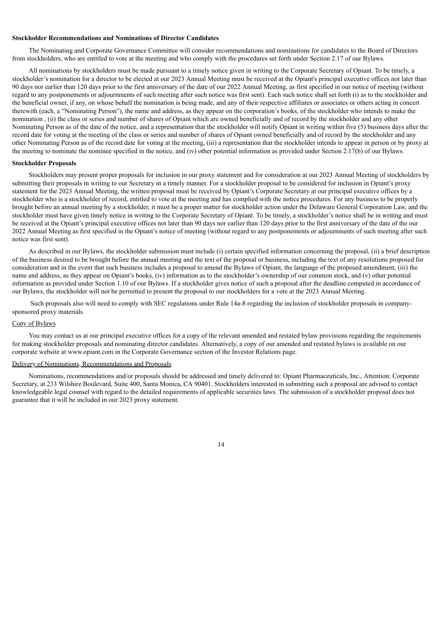### **Stockholder Recommendations and Nominations of Director Candidates**

The Nominating and Corporate Governance Committee will consider recommendations and nominations for candidates to the Board of Directors from stockholders, who are entitled to vote at the meeting and who comply with the procedures set forth under Section 2.17 of our Bylaws.

All nominations by stockholders must be made pursuant to a timely notice given in writing to the Corporate Secretary of Opiant. To be timely, a stockholder's nomination for a director to be elected at our 2023 Annual Meeting must be received at the Opiant's principal executive offices not later than 90 days nor earlier than 120 days prior to the first anniversary of the date of our 2022 Annual Meeting, as first specified in our notice of meeting (without regard to any postponements or adjournments of such meeting after such notice was first sent). Each such notice shall set forth (i) as to the stockholder and the beneficial owner, if any, on whose behalf the nomination is being made, and any of their respective affiliates or associates or others acting in concert therewith (each, a "Nominating Person"), the name and address, as they appear on the corporation's books, of the stockholder who intends to make the nomination , (ii) the class or series and number of shares of Opiant which are owned beneficially and of record by the stockholder and any other Nominating Person as of the date of the notice, and a representation that the stockholder will notify Opiant in writing within five (5) business days after the record date for voting at the meeting of the class or series and number of shares of Opiant owned beneficially and of record by the stockholder and any other Nominating Person as of the record date for voting at the meeting, (iii) a representation that the stockholder intends to appear in person or by proxy at the meeting to nominate the nominee specified in the notice, and (iv) other potential information as provided under Section 2.17(b) of our Bylaws.

#### **Stockholder Proposals**

Stockholders may present proper proposals for inclusion in our proxy statement and for consideration at our 2023 Annual Meeting of stockholders by submitting their proposals in writing to our Secretary in a timely manner. For a stockholder proposal to be considered for inclusion in Opiant's proxy statement for the 2023 Annual Meeting, the written proposal must be received by Opiant's Corporate Secretary at our principal executive offices by a stockholder who is a stockholder of record, entitled to vote at the meeting and has complied with the notice procedures. For any business to be properly brought before an annual meeting by a stockholder, it must be a proper matter for stockholder action under the Delaware General Corporation Law, and the stockholder must have given timely notice in writing to the Corporate Secretary of Opiant. To be timely, a stockholder's notice shall be in writing and must be received at the Opiant's principal executive offices not later than 90 days nor earlier than 120 days prior to the first anniversary of the date of the our 2022 Annual Meeting as first specified in the Opiant's notice of meeting (without regard to any postponements or adjournments of such meeting after such notice was first sent).

As described in our Bylaws, the stockholder submission must include (i) certain specified information concerning the proposal, (ii) a brief description of the business desired to be brought before the annual meeting and the text of the proposal or business, including the text of any resolutions proposed for consideration and in the event that such business includes a proposal to amend the Bylaws of Opiant, the language of the proposed amendment, (iii) the name and address, as they appear on Opiant's books, (iv) information as to the stockholder's ownership of our common stock, and (v) other potential information as provided under Section 1.10 of our Bylaws. If a stockholder gives notice of such a proposal after the deadline computed in accordance of our Bylaws, the stockholder will not be permitted to present the proposal to our stockholders for a vote at the 2023 Annual Meeting.

Such proposals also will need to comply with SEC regulations under Rule 14a-8 regarding the inclusion of stockholder proposals in companysponsored proxy materials.

### Copy of Bylaws

You may contact us at our principal executive offices for a copy of the relevant amended and restated bylaw provisions regarding the requirements for making stockholder proposals and nominating director candidates. Alternatively, a copy of our amended and restated bylaws is available on our corporate website at www.opiant.com in the Corporate Governance section of the Investor Relations page.

### Delivery of Nominations, Recommendations and Proposals

<span id="page-18-0"></span>Nominations, recommendations and/or proposals should be addressed and timely delivered to: Opiant Pharmaceuticals, Inc., Attention: Corporate Secretary, at 233 Wilshire Boulevard, Suite 400, Santa Monica, CA 90401. Stockholders interested in submitting such a proposal are advised to contact knowledgeable legal counsel with regard to the detailed requirements of applicable securities laws. The submission of a stockholder proposal does not guarantee that it will be included in our 2023 proxy statement.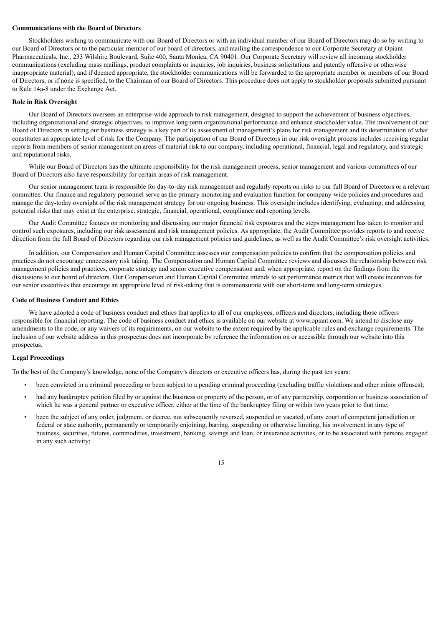### **Communications with the Board of Directors**

Stockholders wishing to communicate with our Board of Directors or with an individual member of our Board of Directors may do so by writing to our Board of Directors or to the particular member of our board of directors, and mailing the correspondence to our Corporate Secretary at Opiant Pharmaceuticals, Inc., 233 Wilshire Boulevard, Suite 400, Santa Monica, CA 90401. Our Corporate Secretary will review all incoming stockholder communications (excluding mass mailings, product complaints or inquiries, job inquiries, business solicitations and patently offensive or otherwise inappropriate material), and if deemed appropriate, the stockholder communications will be forwarded to the appropriate member or members of our Board of Directors, or if none is specified, to the Chairman of our Board of Directors. This procedure does not apply to stockholder proposals submitted pursuant to Rule 14a-8 under the Exchange Act.

### <span id="page-19-0"></span>**Role in Risk Oversight**

Our Board of Directors oversees an enterprise-wide approach to risk management, designed to support the achievement of business objectives, including organizational and strategic objectives, to improve long-term organizational performance and enhance stockholder value. The involvement of our Board of Directors in setting our business strategy is a key part of its assessment of management's plans for risk management and its determination of what constitutes an appropriate level of risk for the Company. The participation of our Board of Directors in our risk oversight process includes receiving regular reports from members of senior management on areas of material risk to our company, including operational, financial, legal and regulatory, and strategic and reputational risks.

While our Board of Directors has the ultimate responsibility for the risk management process, senior management and various committees of our Board of Directors also have responsibility for certain areas of risk management.

Our senior management team is responsible for day-to-day risk management and regularly reports on risks to our full Board of Directors or a relevant committee. Our finance and regulatory personnel serve as the primary monitoring and evaluation function for company-wide policies and procedures and manage the day-today oversight of the risk management strategy for our ongoing business. This oversight includes identifying, evaluating, and addressing potential risks that may exist at the enterprise, strategic, financial, operational, compliance and reporting levels.

Our Audit Committee focuses on monitoring and discussing our major financial risk exposures and the steps management has taken to monitor and control such exposures, including our risk assessment and risk management policies. As appropriate, the Audit Committee provides reports to and receive direction from the full Board of Directors regarding our risk management policies and guidelines, as well as the Audit Committee's risk oversight activities.

In addition, our Compensation and Human Capital Committee assesses our compensation policies to confirm that the compensation policies and practices do not encourage unnecessary risk taking. The Compensation and Human Capital Committee reviews and discusses the relationship between risk management policies and practices, corporate strategy and senior executive compensation and, when appropriate, report on the findings from the discussions to our board of directors. Our Compensation and Human Capital Committee intends to set performance metrics that will create incentives for our senior executives that encourage an appropriate level of risk-taking that is commensurate with our short-term and long-term strategies.

#### <span id="page-19-1"></span>**Code of Business Conduct and Ethics**

We have adopted a code of business conduct and ethics that applies to all of our employees, officers and directors, including those officers responsible for financial reporting. The code of business conduct and ethics is available on our website at www.opiant.com. We intend to disclose any amendments to the code, or any waivers of its requirements, on our website to the extent required by the applicable rules and exchange requirements. The inclusion of our website address in this prospectus does not incorporate by reference the information on or accessible through our website into this prospectus.

#### **Legal Proceedings**

To the best of the Company's knowledge, none of the Company's directors or executive officers has, during the past ten years:

- been convicted in a criminal proceeding or been subject to a pending criminal proceeding (excluding traffic violations and other minor offenses);
- had any bankruptcy petition filed by or against the business or property of the person, or of any partnership, corporation or business association of which he was a general partner or executive officer, either at the time of the bankruptcy filing or within two years prior to that time;
- been the subject of any order, judgment, or decree, not subsequently reversed, suspended or vacated, of any court of competent jurisdiction or federal or state authority, permanently or temporarily enjoining, barring, suspending or otherwise limiting, his involvement in any type of business, securities, futures, commodities, investment, banking, savings and loan, or insurance activities, or to be associated with persons engaged in any such activity;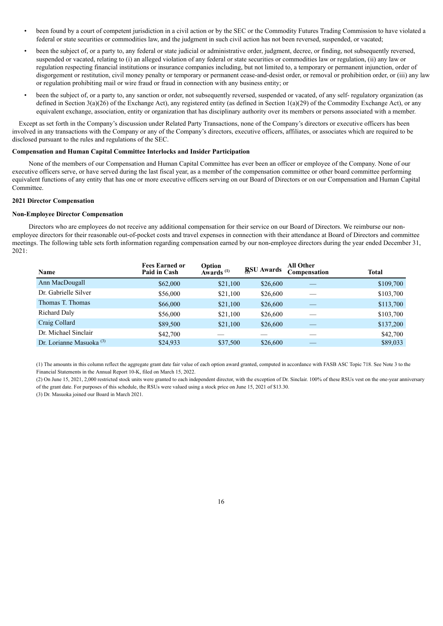- been found by a court of competent jurisdiction in a civil action or by the SEC or the Commodity Futures Trading Commission to have violated a federal or state securities or commodities law, and the judgment in such civil action has not been reversed, suspended, or vacated;
- been the subject of, or a party to, any federal or state judicial or administrative order, judgment, decree, or finding, not subsequently reversed, suspended or vacated, relating to (i) an alleged violation of any federal or state securities or commodities law or regulation, (ii) any law or regulation respecting financial institutions or insurance companies including, but not limited to, a temporary or permanent injunction, order of disgorgement or restitution, civil money penalty or temporary or permanent cease-and-desist order, or removal or prohibition order, or (iii) any law or regulation prohibiting mail or wire fraud or fraud in connection with any business entity; or
- been the subject of, or a party to, any sanction or order, not subsequently reversed, suspended or vacated, of any self- regulatory organization (as defined in Section 3(a)(26) of the Exchange Act), any registered entity (as defined in Section 1(a)(29) of the Commodity Exchange Act), or any equivalent exchange, association, entity or organization that has disciplinary authority over its members or persons associated with a member.

Except as set forth in the Company's discussion under Related Party Transactions, none of the Company's directors or executive officers has been involved in any transactions with the Company or any of the Company's directors, executive officers, affiliates, or associates which are required to be disclosed pursuant to the rules and regulations of the SEC.

### <span id="page-20-0"></span>**Compensation and Human Capital Committee Interlocks and Insider Participation**

None of the members of our Compensation and Human Capital Committee has ever been an officer or employee of the Company. None of our executive officers serve, or have served during the last fiscal year, as a member of the compensation committee or other board committee performing equivalent functions of any entity that has one or more executive officers serving on our Board of Directors or on our Compensation and Human Capital Committee.

### <span id="page-20-1"></span>**2021 Director Compensation**

#### **Non-Employee Director Compensation**

Directors who are employees do not receive any additional compensation for their service on our Board of Directors. We reimburse our nonemployee directors for their reasonable out-of-pocket costs and travel expenses in connection with their attendance at Board of Directors and committee meetings. The following table sets forth information regarding compensation earned by our non-employee directors during the year ended December 31, 2021:

| Name                                | <b>Fees Earned or</b><br>Paid in Cash | Option<br>Awards <sup>(1)</sup> | <b>RSU Awards</b> | <b>All Other</b><br>Compensation | <b>Total</b> |
|-------------------------------------|---------------------------------------|---------------------------------|-------------------|----------------------------------|--------------|
| Ann MacDougall                      | \$62,000                              | \$21,100                        | \$26,600          |                                  | \$109,700    |
| Dr. Gabrielle Silver                | \$56,000                              | \$21,100                        | \$26,600          |                                  | \$103,700    |
| Thomas T. Thomas                    | \$66,000                              | \$21,100                        | \$26,600          |                                  | \$113,700    |
| Richard Daly                        | \$56,000                              | \$21,100                        | \$26,600          |                                  | \$103,700    |
| Craig Collard                       | \$89,500                              | \$21,100                        | \$26,600          |                                  | \$137,200    |
| Dr. Michael Sinclair                | \$42,700                              |                                 |                   |                                  | \$42,700     |
| Dr. Lorianne Masuoka <sup>(3)</sup> | \$24,933                              | \$37,500                        | \$26,600          |                                  | \$89,033     |

(1) The amounts in this column reflect the aggregate grant date fair value of each option award granted, computed in accordance with FASB ASC Topic 718. See Note 3 to the Financial Statements in the Annual Report 10-K, filed on March 15, 2022.

(2) On June 15, 2021, 2,000 restricted stock units were granted to each independent director, with the exception of Dr. Sinclair. 100% of these RSUs vest on the one-year anniversary of the grant date. For purposes of this schedule, the RSUs were valued using a stock price on June 15, 2021 of \$13.30.

(3) Dr. Masuoka joined our Board in March 2021.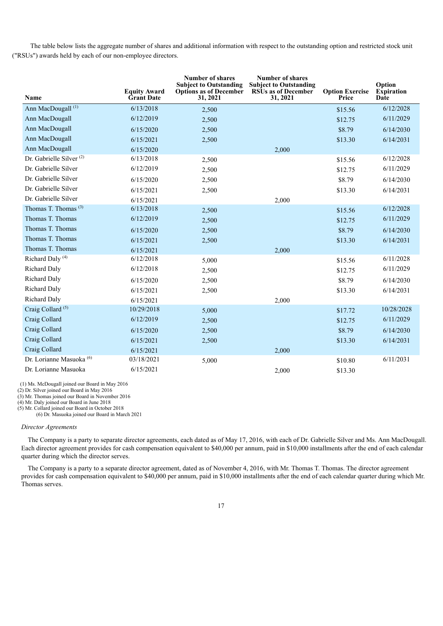The table below lists the aggregate number of shares and additional information with respect to the outstanding option and restricted stock unit ("RSUs") awards held by each of our non-employee directors.

| Name                                | <b>Equity Award</b><br><b>Grant Date</b> | <b>Number of shares</b><br><b>Subject to Outstanding</b><br><b>Options as of December</b><br>31, 2021 | <b>Number of shares</b><br><b>Subject to Outstanding</b><br><b>RSUs as of December</b><br>31, 2021 | <b>Option Exercise</b><br>Price | Option<br><b>Expiration</b><br>Date |
|-------------------------------------|------------------------------------------|-------------------------------------------------------------------------------------------------------|----------------------------------------------------------------------------------------------------|---------------------------------|-------------------------------------|
| Ann MacDougall <sup>(1)</sup>       | 6/13/2018                                | 2,500                                                                                                 |                                                                                                    | \$15.56                         | 6/12/2028                           |
| Ann MacDougall                      | 6/12/2019                                | 2,500                                                                                                 |                                                                                                    | \$12.75                         | 6/11/2029                           |
| Ann MacDougall                      | 6/15/2020                                | 2,500                                                                                                 |                                                                                                    | \$8.79                          | 6/14/2030                           |
| Ann MacDougall                      | 6/15/2021                                | 2,500                                                                                                 |                                                                                                    | \$13.30                         | 6/14/2031                           |
| Ann MacDougall                      | 6/15/2020                                |                                                                                                       | 2,000                                                                                              |                                 |                                     |
| Dr. Gabrielle Silver <sup>(2)</sup> | 6/13/2018                                | 2,500                                                                                                 |                                                                                                    | \$15.56                         | 6/12/2028                           |
| Dr. Gabrielle Silver                | 6/12/2019                                | 2,500                                                                                                 |                                                                                                    | \$12.75                         | 6/11/2029                           |
| Dr. Gabrielle Silver                | 6/15/2020                                | 2,500                                                                                                 |                                                                                                    | \$8.79                          | 6/14/2030                           |
| Dr. Gabrielle Silver                | 6/15/2021                                | 2,500                                                                                                 |                                                                                                    | \$13.30                         | 6/14/2031                           |
| Dr. Gabrielle Silver                | 6/15/2021                                |                                                                                                       | 2,000                                                                                              |                                 |                                     |
| Thomas T. Thomas <sup>(3)</sup>     | 6/13/2018                                | 2,500                                                                                                 |                                                                                                    | \$15.56                         | 6/12/2028                           |
| Thomas T. Thomas                    | 6/12/2019                                | 2,500                                                                                                 |                                                                                                    | \$12.75                         | 6/11/2029                           |
| Thomas T. Thomas                    | 6/15/2020                                | 2,500                                                                                                 |                                                                                                    | \$8.79                          | 6/14/2030                           |
| Thomas T. Thomas                    | 6/15/2021                                | 2,500                                                                                                 |                                                                                                    | \$13.30                         | 6/14/2031                           |
| Thomas T. Thomas                    | 6/15/2021                                |                                                                                                       | 2,000                                                                                              |                                 |                                     |
| Richard Daly <sup>(4)</sup>         | 6/12/2018                                | 5,000                                                                                                 |                                                                                                    | \$15.56                         | 6/11/2028                           |
| Richard Daly                        | 6/12/2018                                | 2,500                                                                                                 |                                                                                                    | \$12.75                         | 6/11/2029                           |
| Richard Daly                        | 6/15/2020                                | 2,500                                                                                                 |                                                                                                    | \$8.79                          | 6/14/2030                           |
| Richard Daly                        | 6/15/2021                                | 2,500                                                                                                 |                                                                                                    | \$13.30                         | 6/14/2031                           |
| Richard Daly                        | 6/15/2021                                |                                                                                                       | 2,000                                                                                              |                                 |                                     |
| Craig Collard <sup>(5)</sup>        | 10/29/2018                               | 5,000                                                                                                 |                                                                                                    | \$17.72                         | 10/28/2028                          |
| Craig Collard                       | 6/12/2019                                | 2,500                                                                                                 |                                                                                                    | \$12.75                         | 6/11/2029                           |
| Craig Collard                       | 6/15/2020                                | 2,500                                                                                                 |                                                                                                    | \$8.79                          | 6/14/2030                           |
| Craig Collard                       | 6/15/2021                                | 2,500                                                                                                 |                                                                                                    | \$13.30                         | 6/14/2031                           |
| Craig Collard                       | 6/15/2021                                |                                                                                                       | 2,000                                                                                              |                                 |                                     |
| Dr. Lorianne Masuoka <sup>(6)</sup> | 03/18/2021                               | 5,000                                                                                                 |                                                                                                    | \$10.80                         | 6/11/2031                           |
| Dr. Lorianne Masuoka                | 6/15/2021                                |                                                                                                       | 2,000                                                                                              | \$13.30                         |                                     |

(1) Ms. McDougall joined our Board in May <sup>2016</sup>

(2) Dr. Silver joined our Board in May 2016

(3) Mr. Thomas joined our Board in November 2016

(4) Mr. Daly joined our Board in June 2018

(5) Mr. Collard joined our Board in October 2018 (6) Dr. Masuoka joined our Board in March 2021

#### *Director Agreements*

The Company is a party to separate director agreements, each dated as of May 17, 2016, with each of Dr. Gabrielle Silver and Ms. Ann MacDougall. Each director agreement provides for cash compensation equivalent to \$40,000 per annum, paid in \$10,000 installments after the end of each calendar quarter during which the director serves.

The Company is a party to a separate director agreement, dated as of November 4, 2016, with Mr. Thomas T. Thomas. The director agreement provides for cash compensation equivalent to \$40,000 per annum, paid in \$10,000 installments after the end of each calendar quarter during which Mr. Thomas serves.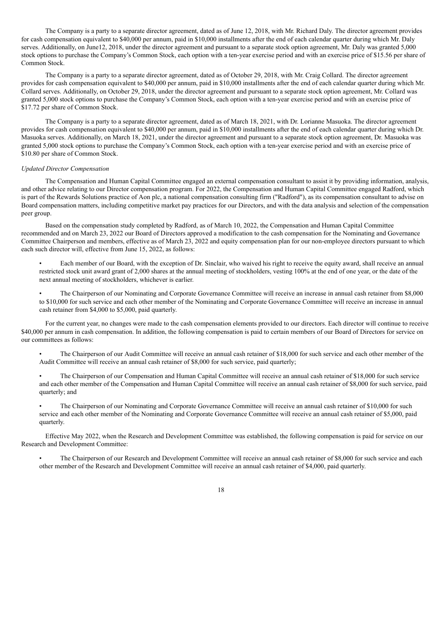The Company is a party to a separate director agreement, dated as of June 12, 2018, with Mr. Richard Daly. The director agreement provides for cash compensation equivalent to \$40,000 per annum, paid in \$10,000 installments after the end of each calendar quarter during which Mr. Daly serves. Additionally, on June12, 2018, under the director agreement and pursuant to a separate stock option agreement, Mr. Daly was granted 5,000 stock options to purchase the Company's Common Stock, each option with a ten-year exercise period and with an exercise price of \$15.56 per share of Common Stock.

The Company is a party to a separate director agreement, dated as of October 29, 2018, with Mr. Craig Collard. The director agreement provides for cash compensation equivalent to \$40,000 per annum, paid in \$10,000 installments after the end of each calendar quarter during which Mr. Collard serves. Additionally, on October 29, 2018, under the director agreement and pursuant to a separate stock option agreement, Mr. Collard was granted 5,000 stock options to purchase the Company's Common Stock, each option with a ten-year exercise period and with an exercise price of \$17.72 per share of Common Stock.

The Company is a party to a separate director agreement, dated as of March 18, 2021, with Dr. Lorianne Masuoka. The director agreement provides for cash compensation equivalent to \$40,000 per annum, paid in \$10,000 installments after the end of each calendar quarter during which Dr. Masuoka serves. Additionally, on March 18, 2021, under the director agreement and pursuant to a separate stock option agreement, Dr. Masuoka was granted 5,000 stock options to purchase the Company's Common Stock, each option with a ten-year exercise period and with an exercise price of \$10.80 per share of Common Stock.

### *Updated Director Compensation*

The Compensation and Human Capital Committee engaged an external compensation consultant to assist it by providing information, analysis, and other advice relating to our Director compensation program. For 2022, the Compensation and Human Capital Committee engaged Radford, which is part of the Rewards Solutions practice of Aon plc, a national compensation consulting firm ("Radford"), as its compensation consultant to advise on Board compensation matters, including competitive market pay practices for our Directors, and with the data analysis and selection of the compensation peer group.

Based on the compensation study completed by Radford, as of March 10, 2022, the Compensation and Human Capital Committee recommended and on March 23, 2022 our Board of Directors approved a modification to the cash compensation for the Nominating and Governance Committee Chairperson and members, effective as of March 23, 2022 and equity compensation plan for our non-employee directors pursuant to which each such director will, effective from June 15, 2022, as follows:

- Each member of our Board, with the exception of Dr. Sinclair, who waived his right to receive the equity award, shall receive an annual restricted stock unit award grant of 2,000 shares at the annual meeting of stockholders, vesting 100% at the end of one year, or the date of the next annual meeting of stockholders, whichever is earlier.
- The Chairperson of our Nominating and Corporate Governance Committee will receive an increase in annual cash retainer from \$8,000 to \$10,000 for such service and each other member of the Nominating and Corporate Governance Committee will receive an increase in annual cash retainer from \$4,000 to \$5,000, paid quarterly.

For the current year, no changes were made to the cash compensation elements provided to our directors. Each director will continue to receive \$40,000 per annum in cash compensation. In addition, the following compensation is paid to certain members of our Board of Directors for service on our committees as follows:

• The Chairperson of our Audit Committee will receive an annual cash retainer of \$18,000 for such service and each other member of the Audit Committee will receive an annual cash retainer of \$8,000 for such service, paid quarterly;

- The Chairperson of our Compensation and Human Capital Committee will receive an annual cash retainer of \$18,000 for such service and each other member of the Compensation and Human Capital Committee will receive an annual cash retainer of \$8,000 for such service, paid quarterly; and
- The Chairperson of our Nominating and Corporate Governance Committee will receive an annual cash retainer of \$10,000 for such service and each other member of the Nominating and Corporate Governance Committee will receive an annual cash retainer of \$5,000, paid quarterly.

Effective May 2022, when the Research and Development Committee was established, the following compensation is paid for service on our Research and Development Committee:

<span id="page-22-0"></span>• The Chairperson of our Research and Development Committee will receive an annual cash retainer of \$8,000 for such service and each other member of the Research and Development Committee will receive an annual cash retainer of \$4,000, paid quarterly.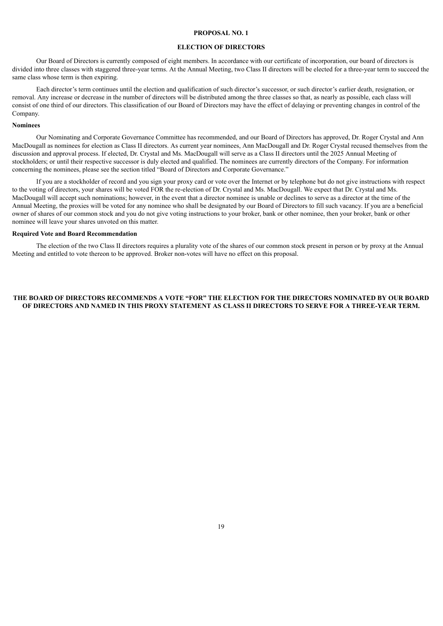### **PROPOSAL NO. 1**

#### **ELECTION OF DIRECTORS**

Our Board of Directors is currently composed of eight members. In accordance with our certificate of incorporation, our board of directors is divided into three classes with staggered three-year terms. At the Annual Meeting, two Class II directors will be elected for a three-year term to succeed the same class whose term is then expiring.

Each director's term continues until the election and qualification of such director's successor, or such director's earlier death, resignation, or removal. Any increase or decrease in the number of directors will be distributed among the three classes so that, as nearly as possible, each class will consist of one third of our directors. This classification of our Board of Directors may have the effect of delaying or preventing changes in control of the Company.

### **Nominees**

Our Nominating and Corporate Governance Committee has recommended, and our Board of Directors has approved, Dr. Roger Crystal and Ann MacDougall as nominees for election as Class II directors. As current year nominees, Ann MacDougall and Dr. Roger Crystal recused themselves from the discussion and approval process. If elected, Dr. Crystal and Ms. MacDougall will serve as a Class II directors until the 2025 Annual Meeting of stockholders; or until their respective successor is duly elected and qualified. The nominees are currently directors of the Company. For information concerning the nominees, please see the section titled "Board of Directors and Corporate Governance."

If you are a stockholder of record and you sign your proxy card or vote over the Internet or by telephone but do not give instructions with respect to the voting of directors, your shares will be voted FOR the re-election of Dr. Crystal and Ms. MacDougall. We expect that Dr. Crystal and Ms. MacDougall will accept such nominations; however, in the event that a director nominee is unable or declines to serve as a director at the time of the Annual Meeting, the proxies will be voted for any nominee who shall be designated by our Board of Directors to fill such vacancy. If you are a beneficial owner of shares of our common stock and you do not give voting instructions to your broker, bank or other nominee, then your broker, bank or other nominee will leave your shares unvoted on this matter.

#### **Required Vote and Board Recommendation**

The election of the two Class II directors requires a plurality vote of the shares of our common stock present in person or by proxy at the Annual Meeting and entitled to vote thereon to be approved. Broker non-votes will have no effect on this proposal.

### <span id="page-23-0"></span>**THE BOARD OF DIRECTORS RECOMMENDS A VOTE "FOR" THE ELECTION FOR THE DIRECTORS NOMINATED BY OUR BOARD** OF DIRECTORS AND NAMED IN THIS PROXY STATEMENT AS CLASS II DIRECTORS TO SERVE FOR A THREE-YEAR TERM.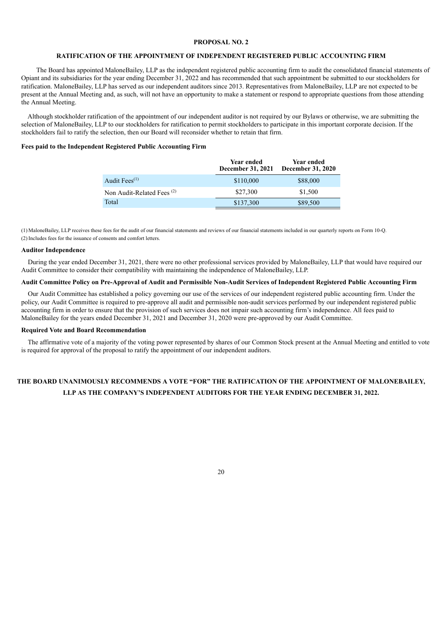### **PROPOSAL NO. 2**

### **RATIFICATION OF THE APPOINTMENT OF INDEPENDENT REGISTERED PUBLIC ACCOUNTING FIRM**

The Board has appointed MaloneBailey, LLP as the independent registered public accounting firm to audit the consolidated financial statements of Opiant and its subsidiaries for the year ending December 31, 2022 and has recommended that such appointment be submitted to our stockholders for ratification. MaloneBailey, LLP has served as our independent auditors since 2013. Representatives from MaloneBailey, LLP are not expected to be present at the Annual Meeting and, as such, will not have an opportunity to make a statement or respond to appropriate questions from those attending the Annual Meeting.

Although stockholder ratification of the appointment of our independent auditor is not required by our Bylaws or otherwise, we are submitting the selection of MaloneBailey, LLP to our stockholders for ratification to permit stockholders to participate in this important corporate decision. If the stockholders fail to ratify the selection, then our Board will reconsider whether to retain that firm.

### **Fees paid to the Independent Registered Public Accounting Firm**

|                              | Year ended<br>December 31, 2021 | Year ended<br><b>December 31, 2020</b> |
|------------------------------|---------------------------------|----------------------------------------|
| Audit Fees $(1)$             | \$110,000                       | \$88,000                               |
| Non Audit-Related Fees $(2)$ | \$27,300                        | \$1,500                                |
| Total                        | \$137,300                       | \$89,500                               |

(1) MaloneBailey, LLP receives these fees for the audit of our financial statements and reviews of our financial statements included in our quarterly reports on Form 10-Q. (2) Includes fees for the issuance of consents and comfort letters.

#### **Auditor Independence**

During the year ended December 31, 2021, there were no other professional services provided by MaloneBailey, LLP that would have required our Audit Committee to consider their compatibility with maintaining the independence of MaloneBailey, LLP.

### Audit Committee Policy on Pre-Approval of Audit and Permissible Non-Audit Services of Independent Registered Public Accounting Firm

Our Audit Committee has established a policy governing our use of the services of our independent registered public accounting firm. Under the policy, our Audit Committee is required to pre-approve all audit and permissible non-audit services performed by our independent registered public accounting firm in order to ensure that the provision of such services does not impair such accounting firm's independence. All fees paid to MaloneBailey for the years ended December 31, 2021 and December 31, 2020 were pre-approved by our Audit Committee.

### **Required Vote and Board Recommendation**

The affirmative vote of a majority of the voting power represented by shares of our Common Stock present at the Annual Meeting and entitled to vote is required for approval of the proposal to ratify the appointment of our independent auditors.

# **THE BOARD UNANIMOUSLY RECOMMENDS A VOTE "FOR" THE RATIFICATION OF THE APPOINTMENT OF MALONEBAILEY, LLP AS THE COMPANY'S INDEPENDENT AUDITORS FOR THE YEAR ENDING DECEMBER 31, 2022.**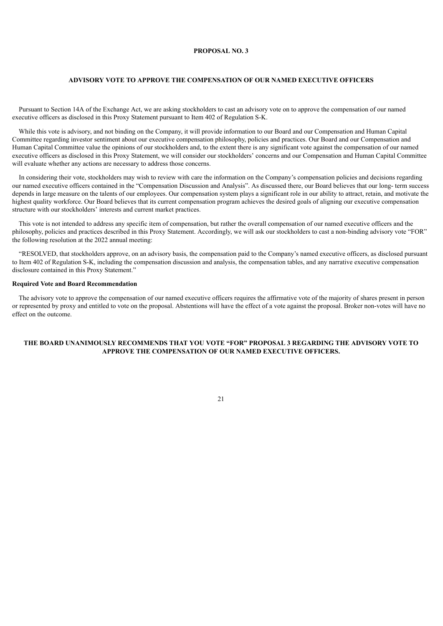### **PROPOSAL NO. 3**

### **ADVISORY VOTE TO APPROVE THE COMPENSATION OF OUR NAMED EXECUTIVE OFFICERS**

<span id="page-25-0"></span>Pursuant to Section 14A of the Exchange Act, we are asking stockholders to cast an advisory vote on to approve the compensation of our named executive officers as disclosed in this Proxy Statement pursuant to Item 402 of Regulation S-K.

While this vote is advisory, and not binding on the Company, it will provide information to our Board and our Compensation and Human Capital Committee regarding investor sentiment about our executive compensation philosophy, policies and practices. Our Board and our Compensation and Human Capital Committee value the opinions of our stockholders and, to the extent there is any significant vote against the compensation of our named executive officers as disclosed in this Proxy Statement, we will consider our stockholders' concerns and our Compensation and Human Capital Committee will evaluate whether any actions are necessary to address those concerns.

In considering their vote, stockholders may wish to review with care the information on the Company's compensation policies and decisions regarding our named executive officers contained in the "Compensation Discussion and Analysis". As discussed there, our Board believes that our long- term success depends in large measure on the talents of our employees. Our compensation system plays a significant role in our ability to attract, retain, and motivate the highest quality workforce. Our Board believes that its current compensation program achieves the desired goals of aligning our executive compensation structure with our stockholders' interests and current market practices.

This vote is not intended to address any specific item of compensation, but rather the overall compensation of our named executive officers and the philosophy, policies and practices described in this Proxy Statement. Accordingly, we will ask our stockholders to cast a non-binding advisory vote "FOR" the following resolution at the 2022 annual meeting:

"RESOLVED, that stockholders approve, on an advisory basis, the compensation paid to the Company's named executive officers, as disclosed pursuant to Item 402 of Regulation S-K, including the compensation discussion and analysis, the compensation tables, and any narrative executive compensation disclosure contained in this Proxy Statement."

### **Required Vote and Board Recommendation**

The advisory vote to approve the compensation of our named executive officers requires the affirmative vote of the majority of shares present in person or represented by proxy and entitled to vote on the proposal. Abstentions will have the effect of a vote against the proposal. Broker non-votes will have no effect on the outcome.

## <span id="page-25-1"></span>**THE BOARD UNANIMOUSLY RECOMMENDS THAT YOU VOTE "FOR" PROPOSAL 3 REGARDING THE ADVISORY VOTE TO APPROVE THE COMPENSATION OF OUR NAMED EXECUTIVE OFFICERS.**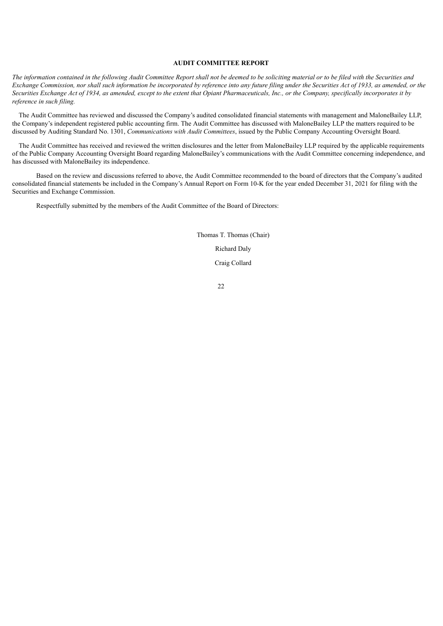### **AUDIT COMMITTEE REPORT**

The information contained in the following Audit Committee Report shall not be deemed to be soliciting material or to be filed with the Securities and Exchange Commission, nor shall such information be incorporated by reference into any future filing under the Securities Act of 1933, as amended, or the Securities Exchange Act of 1934, as amended, except to the extent that Opiant Pharmaceuticals, Inc., or the Company, specifically incorporates it by *reference in such filing.*

The Audit Committee has reviewed and discussed the Company's audited consolidated financial statements with management and MaloneBailey LLP, the Company's independent registered public accounting firm. The Audit Committee has discussed with MaloneBailey LLP the matters required to be discussed by Auditing Standard No. 1301, *Communications with Audit Committees*, issued by the Public Company Accounting Oversight Board.

The Audit Committee has received and reviewed the written disclosures and the letter from MaloneBailey LLP required by the applicable requirements of the Public Company Accounting Oversight Board regarding MaloneBailey's communications with the Audit Committee concerning independence, and has discussed with MaloneBailey its independence.

Based on the review and discussions referred to above, the Audit Committee recommended to the board of directors that the Company's audited consolidated financial statements be included in the Company's Annual Report on Form 10-K for the year ended December 31, 2021 for filing with the Securities and Exchange Commission.

<span id="page-26-0"></span>Respectfully submitted by the members of the Audit Committee of the Board of Directors:

Thomas T. Thomas (Chair) Richard Daly Craig Collard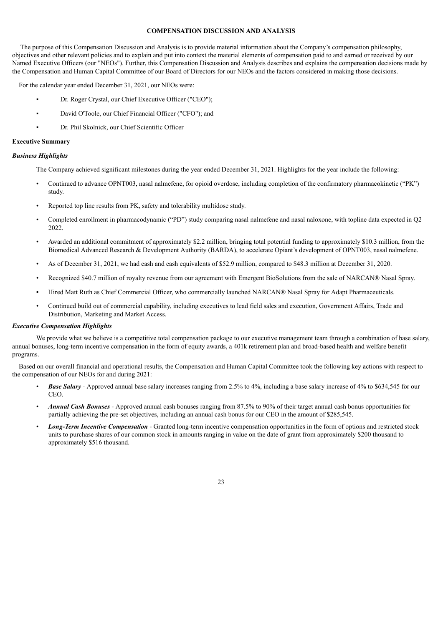### **COMPENSATION DISCUSSION AND ANALYSIS**

 The purpose of this Compensation Discussion and Analysis is to provide material information about the Company's compensation philosophy, objectives and other relevant policies and to explain and put into context the material elements of compensation paid to and earned or received by our Named Executive Officers (our "NEOs"). Further, this Compensation Discussion and Analysis describes and explains the compensation decisions made by the Compensation and Human Capital Committee of our Board of Directors for our NEOs and the factors considered in making those decisions.

For the calendar year ended December 31, 2021, our NEOs were:

- Dr. Roger Crystal, our Chief Executive Officer ("CEO");
- David O'Toole, our Chief Financial Officer ("CFO"); and
- Dr. Phil Skolnick, our Chief Scientific Officer

### **Executive Summary**

### *Business Highlights*

The Company achieved significant milestones during the year ended December 31, 2021. Highlights for the year include the following:

- Continued to advance OPNT003, nasal nalmefene, for opioid overdose, including completion of the confirmatory pharmacokinetic ("PK") study.
- Reported top line results from PK, safety and tolerability multidose study.
- Completed enrollment in pharmacodynamic ("PD") study comparing nasal nalmefene and nasal naloxone, with topline data expected in Q2 2022.
- Awarded an additional commitment of approximately \$2.2 million, bringing total potential funding to approximately \$10.3 million, from the Biomedical Advanced Research & Development Authority (BARDA), to accelerate Opiant's development of OPNT003, nasal nalmefene.
- As of December 31, 2021, we had cash and cash equivalents of \$52.9 million, compared to \$48.3 million at December 31, 2020.
- Recognized \$40.7 million of royalty revenue from our agreement with Emergent BioSolutions from the sale of NARCAN® Nasal Spray.
- **•** Hired Matt Ruth as Chief Commercial Officer, who commercially launched NARCAN® Nasal Spray for Adapt Pharmaceuticals.
- Continued build out of commercial capability, including executives to lead field sales and execution, Government Affairs, Trade and Distribution, Marketing and Market Access.

#### *Executive Compensation Highlights*

We provide what we believe is a competitive total compensation package to our executive management team through a combination of base salary, annual bonuses, long-term incentive compensation in the form of equity awards, a 401k retirement plan and broad-based health and welfare benefit programs.

Based on our overall financial and operational results, the Compensation and Human Capital Committee took the following key actions with respect to the compensation of our NEOs for and during 2021:

- *Base Salary* Approved annual base salary increases ranging from 2.5% to 4%, including a base salary increase of 4% to \$634,545 for our **CEO**
- *Annual Cash Bonuses* Approved annual cash bonuses ranging from 87.5% to 90% of their target annual cash bonus opportunities for partially achieving the pre-set objectives, including an annual cash bonus for our CEO in the amount of \$285,545.
- *Long-Term Incentive Compensation* Granted long-term incentive compensation opportunities in the form of options and restricted stock units to purchase shares of our common stock in amounts ranging in value on the date of grant from approximately \$200 thousand to approximately \$516 thousand.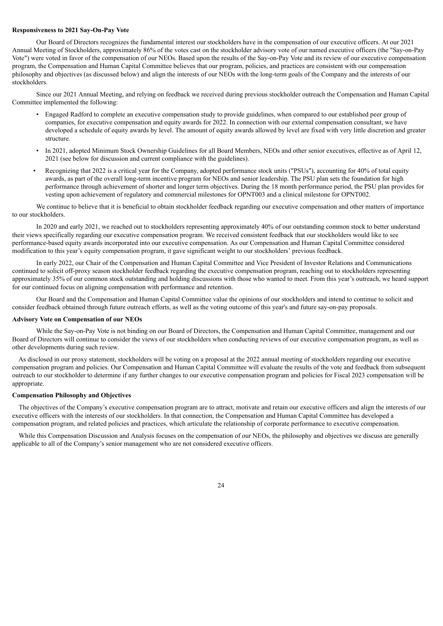### **Responsiveness to 2021 Say-On-Pay Vote**

Our Board of Directors recognizes the fundamental interest our stockholders have in the compensation of our executive officers. At our 2021 Annual Meeting of Stockholders, approximately 86% of the votes cast on the stockholder advisory vote of our named executive officers (the "Say-on-Pay Vote") were voted in favor of the compensation of our NEOs. Based upon the results of the Say-on-Pay Vote and its review of our executive compensation program, the Compensation and Human Capital Committee believes that our program, policies, and practices are consistent with our compensation philosophy and objectives (as discussed below) and align the interests of our NEOs with the long-term goals of the Company and the interests of our stockholders.

Since our 2021 Annual Meeting, and relying on feedback we received during previous stockholder outreach the Compensation and Human Capital Committee implemented the following:

- Engaged Radford to complete an executive compensation study to provide guidelines, when compared to our established peer group of companies, for executive compensation and equity awards for 2022. In connection with our external compensation consultant, we have developed a schedule of equity awards by level. The amount of equity awards allowed by level are fixed with very little discretion and greater structure.
- In 2021, adopted Minimum Stock Ownership Guidelines for all Board Members, NEOs and other senior executives, effective as of April 12, 2021 (see below for discussion and current compliance with the guidelines).
- Recognizing that 2022 is a critical year for the Company, adopted performance stock units ("PSUs"), accounting for 40% of total equity awards, as part of the overall long-term incentive program for NEOs and senior leadership. The PSU plan sets the foundation for high performance through achievement of shorter and longer term objectives. During the 18 month performance period, the PSU plan provides for vesting upon achievement of regulatory and commercial milestones for OPNT003 and a clinical milestone for OPNT002.

We continue to believe that it is beneficial to obtain stockholder feedback regarding our executive compensation and other matters of importance to our stockholders.

In 2020 and early 2021, we reached out to stockholders representing approximately 40% of our outstanding common stock to better understand their views specifically regarding our executive compensation program. We received consistent feedback that our stockholders would like to see performance-based equity awards incorporated into our executive compensation. As our Compensation and Human Capital Committee considered modification to this year's equity compensation program, it gave significant weight to our stockholders' previous feedback.

In early 2022, our Chair of the Compensation and Human Capital Committee and Vice President of Investor Relations and Communications continued to solicit off-proxy season stockholder feedback regarding the executive compensation program, reaching out to stockholders representing approximately 35% of our common stock outstanding and holding discussions with those who wanted to meet. From this year's outreach, we heard support for our continued focus on aligning compensation with performance and retention.

Our Board and the Compensation and Human Capital Committee value the opinions of our stockholders and intend to continue to solicit and consider feedback obtained through future outreach efforts, as well as the voting outcome of this year's and future say-on-pay proposals.

### **Advisory Vote on Compensation of our NEOs**

While the Say-on-Pay Vote is not binding on our Board of Directors, the Compensation and Human Capital Committee, management and our Board of Directors will continue to consider the views of our stockholders when conducting reviews of our executive compensation program, as well as other developments during such review.

As disclosed in our proxy statement, stockholders will be voting on a proposal at the 2022 annual meeting of stockholders regarding our executive compensation program and policies. Our Compensation and Human Capital Committee will evaluate the results of the vote and feedback from subsequent outreach to our stockholder to determine if any further changes to our executive compensation program and policies for Fiscal 2023 compensation will be appropriate.

### **Compensation Philosophy and Objectives**

The objectives of the Company's executive compensation program are to attract, motivate and retain our executive officers and align the interests of our executive officers with the interests of our stockholders. In that connection, the Compensation and Human Capital Committee has developed a compensation program, and related policies and practices, which articulate the relationship of corporate performance to executive compensation.

While this Compensation Discussion and Analysis focuses on the compensation of our NEOs, the philosophy and objectives we discuss are generally applicable to all of the Company's senior management who are not considered executive officers.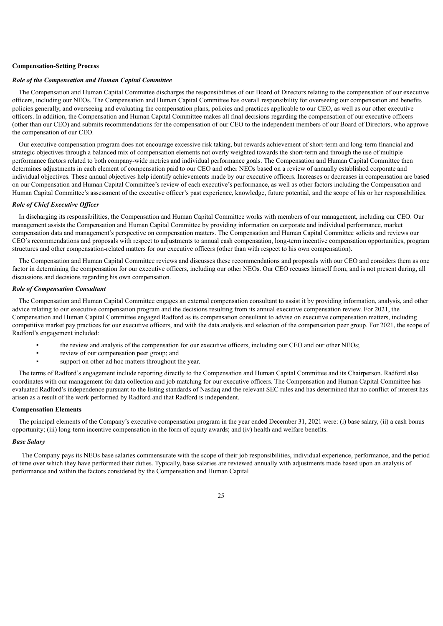#### **Compensation-Setting Process**

### *Role of the Compensation and Human Capital Committee*

The Compensation and Human Capital Committee discharges the responsibilities of our Board of Directors relating to the compensation of our executive officers, including our NEOs. The Compensation and Human Capital Committee has overall responsibility for overseeing our compensation and benefits policies generally, and overseeing and evaluating the compensation plans, policies and practices applicable to our CEO, as well as our other executive officers. In addition, the Compensation and Human Capital Committee makes all final decisions regarding the compensation of our executive officers (other than our CEO) and submits recommendations for the compensation of our CEO to the independent members of our Board of Directors, who approve the compensation of our CEO.

Our executive compensation program does not encourage excessive risk taking, but rewards achievement of short-term and long-term financial and strategic objectives through a balanced mix of compensation elements not overly weighted towards the short-term and through the use of multiple performance factors related to both company-wide metrics and individual performance goals. The Compensation and Human Capital Committee then determines adjustments in each element of compensation paid to our CEO and other NEOs based on a review of annually established corporate and individual objectives. These annual objectives help identify achievements made by our executive officers. Increases or decreases in compensation are based on our Compensation and Human Capital Committee's review of each executive's performance, as well as other factors including the Compensation and Human Capital Committee's assessment of the executive officer's past experience, knowledge, future potential, and the scope of his or her responsibilities.

### *Role of Chief Executive Of icer*

In discharging its responsibilities, the Compensation and Human Capital Committee works with members of our management, including our CEO. Our management assists the Compensation and Human Capital Committee by providing information on corporate and individual performance, market compensation data and management's perspective on compensation matters. The Compensation and Human Capital Committee solicits and reviews our CEO's recommendations and proposals with respect to adjustments to annual cash compensation, long-term incentive compensation opportunities, program structures and other compensation-related matters for our executive officers (other than with respect to his own compensation).

The Compensation and Human Capital Committee reviews and discusses these recommendations and proposals with our CEO and considers them as one factor in determining the compensation for our executive officers, including our other NEOs. Our CEO recuses himself from, and is not present during, all discussions and decisions regarding his own compensation.

### *Role of Compensation Consultant*

The Compensation and Human Capital Committee engages an external compensation consultant to assist it by providing information, analysis, and other advice relating to our executive compensation program and the decisions resulting from its annual executive compensation review. For 2021, the Compensation and Human Capital Committee engaged Radford as its compensation consultant to advise on executive compensation matters, including competitive market pay practices for our executive officers, and with the data analysis and selection of the compensation peer group. For 2021, the scope of Radford's engagement included:

- the review and analysis of the compensation for our executive officers, including our CEO and our other NEOs;
- review of our compensation peer group; and
- support on other ad hoc matters throughout the year.

The terms of Radford's engagement include reporting directly to the Compensation and Human Capital Committee and its Chairperson. Radford also coordinates with our management for data collection and job matching for our executive officers. The Compensation and Human Capital Committee has evaluated Radford's independence pursuant to the listing standards of Nasdaq and the relevant SEC rules and has determined that no conflict of interest has arisen as a result of the work performed by Radford and that Radford is independent.

### **Compensation Elements**

The principal elements of the Company's executive compensation program in the year ended December 31, 2021 were: (i) base salary, (ii) a cash bonus opportunity; (iii) long-term incentive compensation in the form of equity awards; and (iv) health and welfare benefits.

#### *Base Salary*

 The Company pays its NEOs base salaries commensurate with the scope of their job responsibilities, individual experience, performance, and the period of time over which they have performed their duties. Typically, base salaries are reviewed annually with adjustments made based upon an analysis of performance and within the factors considered by the Compensation and Human Capital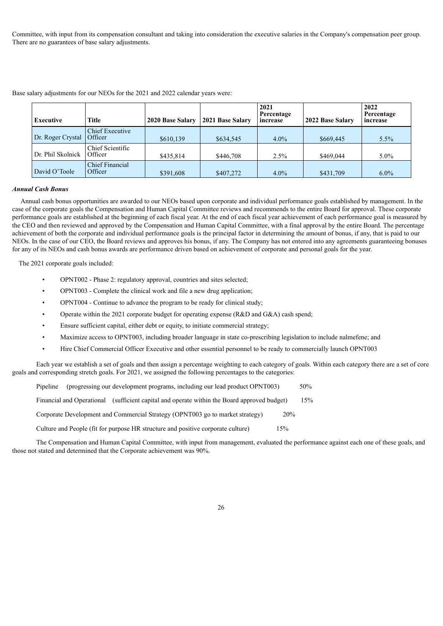Committee, with input from its compensation consultant and taking into consideration the executive salaries in the Company's compensation peer group. There are no guarantees of base salary adjustments.

| <b>Executive</b>  | <b>Title</b>                             | 2020 Base Salary | 2021 Base Salary | 2021<br>Percentage<br>increase | 2022 Base Salary | 2022<br>Percentage<br>increase |
|-------------------|------------------------------------------|------------------|------------------|--------------------------------|------------------|--------------------------------|
| Dr. Roger Crystal | <b>Chief Executive</b><br><b>Officer</b> | \$610,139        | \$634,545        | $4.0\%$                        | \$669,445        | $5.5\%$                        |
| Dr. Phil Skolnick | Chief Scientific<br><b>Officer</b>       | \$435,814        | \$446,708        | 2.5%                           | \$469,044        | $5.0\%$                        |
| David O'Toole     | <b>Chief Financial</b><br><b>Officer</b> | \$391,608        | \$407,272        | $4.0\%$                        | \$431,709        | $6.0\%$                        |

Base salary adjustments for our NEOs for the 2021 and 2022 calendar years were:

### *Annual Cash Bonus*

Annual cash bonus opportunities are awarded to our NEOs based upon corporate and individual performance goals established by management. In the case of the corporate goals the Compensation and Human Capital Committee reviews and recommends to the entire Board for approval. These corporate performance goals are established at the beginning of each fiscal year. At the end of each fiscal year achievement of each performance goal is measured by the CEO and then reviewed and approved by the Compensation and Human Capital Committee, with a final approval by the entire Board. The percentage achievement of both the corporate and individual performance goals is the principal factor in determining the amount of bonus, if any, that is paid to our NEOs. In the case of our CEO, the Board reviews and approves his bonus, if any. The Company has not entered into any agreements guaranteeing bonuses for any of its NEOs and cash bonus awards are performance driven based on achievement of corporate and personal goals for the year.

The 2021 corporate goals included:

- OPNT002 Phase 2: regulatory approval, countries and sites selected;
- OPNT003 Complete the clinical work and file a new drug application;
- OPNT004 Continue to advance the program to be ready for clinical study;
- Operate within the 2021 corporate budget for operating expense (R&D and G&A) cash spend;
- Ensure sufficient capital, either debt or equity, to initiate commercial strategy;
- Maximize access to OPNT003, including broader language in state co-prescribing legislation to include nalmefene; and
- Hire Chief Commercial Officer Executive and other essential personnel to be ready to commercially launch OPNT003

Each year we establish a set of goals and then assign a percentage weighting to each category of goals. Within each category there are a set of core goals and corresponding stretch goals. For 2021, we assigned the following percentages to the categories:

Pipeline (progressing our development programs, including our lead product OPNT003) 50%

Financial and Operational (sufficient capital and operate within the Board approved budget) 15%

Corporate Development and Commercial Strategy (OPNT003 go to market strategy) 20%

Culture and People (fit for purpose HR structure and positive corporate culture) 15%

The Compensation and Human Capital Committee, with input from management, evaluated the performance against each one of these goals, and those not stated and determined that the Corporate achievement was 90%.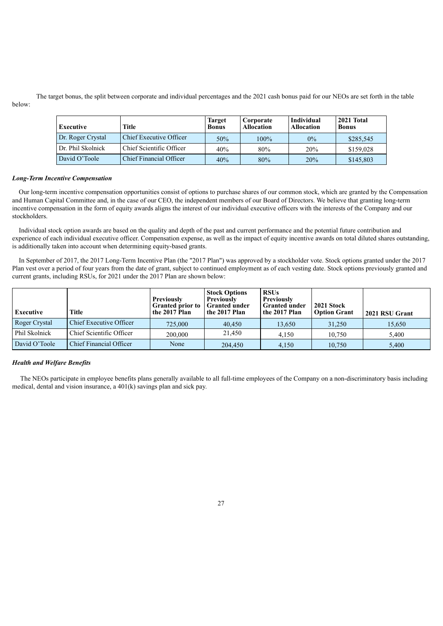The target bonus, the split between corporate and individual percentages and the 2021 cash bonus paid for our NEOs are set forth in the table below:

| Executive         | Title                    | <b>Target</b><br><b>Bonus</b> | Corporate<br><b>Allocation</b> | Individual<br><b>Allocation</b> | 2021 Total<br><b>Bonus</b> |
|-------------------|--------------------------|-------------------------------|--------------------------------|---------------------------------|----------------------------|
| Dr. Roger Crystal | Chief Executive Officer  | 50%                           | $100\%$                        | $0\%$                           | \$285,545                  |
| Dr. Phil Skolnick | Chief Scientific Officer | 40%                           | 80%                            | 20%                             | \$159,028                  |
| David O'Toole     | Chief Financial Officer  | 40%                           | 80%                            | 20%                             | \$145,803                  |

#### *Long-Term Incentive Compensation*

Our long-term incentive compensation opportunities consist of options to purchase shares of our common stock, which are granted by the Compensation and Human Capital Committee and, in the case of our CEO, the independent members of our Board of Directors. We believe that granting long-term incentive compensation in the form of equity awards aligns the interest of our individual executive officers with the interests of the Company and our stockholders.

Individual stock option awards are based on the quality and depth of the past and current performance and the potential future contribution and experience of each individual executive officer. Compensation expense, as well as the impact of equity incentive awards on total diluted shares outstanding, is additionally taken into account when determining equity-based grants.

In September of 2017, the 2017 Long-Term Incentive Plan (the "2017 Plan") was approved by a stockholder vote. Stock options granted under the 2017 Plan vest over a period of four years from the date of grant, subject to continued employment as of each vesting date. Stock options previously granted and current grants, including RSUs, for 2021 under the 2017 Plan are shown below:

| <b>Executive</b> | <b>Title</b>                   | <b>Previously</b><br><b>Granted prior to</b><br>the 2017 Plan | <b>Stock Options</b><br><b>Previously</b><br><b>Granted under</b><br>the 2017 Plan | <b>RSUs</b><br>Previously<br><b>Granted under</b><br>the 2017 Plan | 2021 Stock<br><b>Option Grant</b> | 2021 RSU Grant |
|------------------|--------------------------------|---------------------------------------------------------------|------------------------------------------------------------------------------------|--------------------------------------------------------------------|-----------------------------------|----------------|
| Roger Crystal    | Chief Executive Officer        | 725,000                                                       | 40.450                                                                             | 13,650                                                             | 31,250                            | 15,650         |
| Phil Skolnick    | Chief Scientific Officer       | 200,000                                                       | 21,450                                                                             | 4.150                                                              | 10.750                            | 5.400          |
| David O'Toole    | <b>Chief Financial Officer</b> | None                                                          | 204,450                                                                            | 4,150                                                              | 10.750                            | 5,400          |

### *Health and Welfare Benefits*

 The NEOs participate in employee benefits plans generally available to all full-time employees of the Company on a non-discriminatory basis including medical, dental and vision insurance, a 401(k) savings plan and sick pay.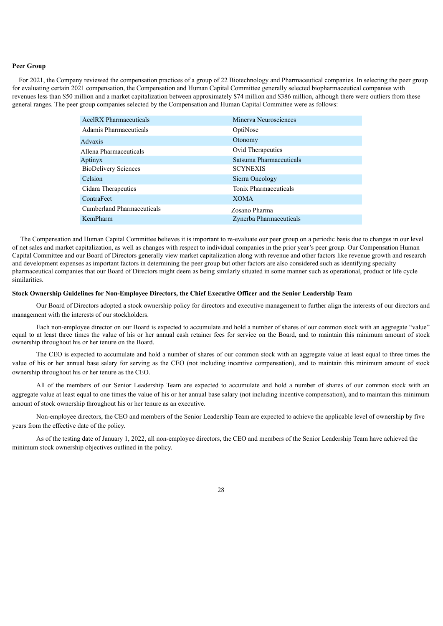#### **Peer Group**

For 2021, the Company reviewed the compensation practices of a group of 22 Biotechnology and Pharmaceutical companies. In selecting the peer group for evaluating certain 2021 compensation, the Compensation and Human Capital Committee generally selected biopharmaceutical companies with revenues less than \$50 million and a market capitalization between approximately \$74 million and \$386 million, although there were outliers from these general ranges. The peer group companies selected by the Compensation and Human Capital Committee were as follows:

| AcelRX Pharmaceuticals      | Minerva Neurosciences    |
|-----------------------------|--------------------------|
| Adamis Pharmaceuticals      | OptiNose                 |
| Advaxis                     | Otonomy                  |
| Allena Pharmaceuticals      | <b>Ovid Therapeutics</b> |
| Aptinyx                     | Satsuma Pharmaceuticals  |
| <b>BioDelivery Sciences</b> | <b>SCYNEXIS</b>          |
| Celsion                     | Sierra Oncology          |
| Cidara Therapeutics         | Tonix Pharmaceuticals    |
| ContraFect                  | <b>XOMA</b>              |
| Cumberland Pharmaceuticals  | Zosano Pharma            |
| KemPharm                    | Zynerba Pharmaceuticals  |

 The Compensation and Human Capital Committee believes it is important to re-evaluate our peer group on a periodic basis due to changes in our level of net sales and market capitalization, as well as changes with respect to individual companies in the prior year's peer group. Our Compensation Human Capital Committee and our Board of Directors generally view market capitalization along with revenue and other factors like revenue growth and research and development expenses as important factors in determining the peer group but other factors are also considered such as identifying specialty pharmaceutical companies that our Board of Directors might deem as being similarly situated in some manner such as operational, product or life cycle similarities.

### **Stock Ownership Guidelines for Non-Employee Directors, the Chief Executive Officer and the Senior Leadership Team**

Our Board of Directors adopted a stock ownership policy for directors and executive management to further align the interests of our directors and management with the interests of our stockholders.

Each non-employee director on our Board is expected to accumulate and hold a number of shares of our common stock with an aggregate "value" equal to at least three times the value of his or her annual cash retainer fees for service on the Board, and to maintain this minimum amount of stock ownership throughout his or her tenure on the Board.

The CEO is expected to accumulate and hold a number of shares of our common stock with an aggregate value at least equal to three times the value of his or her annual base salary for serving as the CEO (not including incentive compensation), and to maintain this minimum amount of stock ownership throughout his or her tenure as the CEO.

All of the members of our Senior Leadership Team are expected to accumulate and hold a number of shares of our common stock with an aggregate value at least equal to one times the value of his or her annual base salary (not including incentive compensation), and to maintain this minimum amount of stock ownership throughout his or her tenure as an executive.

Non-employee directors, the CEO and members of the Senior Leadership Team are expected to achieve the applicable level of ownership by five years from the effective date of the policy.

<span id="page-32-0"></span>As of the testing date of January 1, 2022, all non-employee directors, the CEO and members of the Senior Leadership Team have achieved the minimum stock ownership objectives outlined in the policy.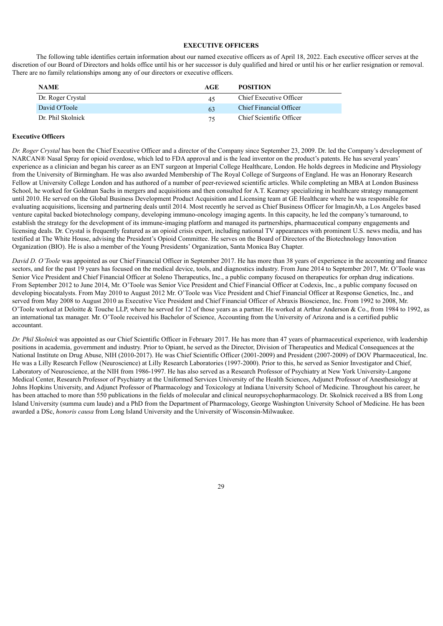### **EXECUTIVE OFFICERS**

The following table identifies certain information about our named executive officers as of April 18, 2022. Each executive officer serves at the discretion of our Board of Directors and holds office until his or her successor is duly qualified and hired or until his or her earlier resignation or removal. There are no family relationships among any of our directors or executive officers.

| <b>NAME</b>       | AGE | <b>POSITION</b>          |
|-------------------|-----|--------------------------|
| Dr. Roger Crystal | 45  | Chief Executive Officer  |
| David O'Toole     | 63  | Chief Financial Officer  |
| Dr. Phil Skolnick | 75  | Chief Scientific Officer |

### **Executive Officers**

*Dr. Roger Crystal* has been the Chief Executive Officer and a director of the Company since September 23, 2009. Dr. led the Company's development of NARCAN® Nasal Spray for opioid overdose, which led to FDA approval and is the lead inventor on the product's patents. He has several years' experience as a clinician and began his career as an ENT surgeon at Imperial College Healthcare, London. He holds degrees in Medicine and Physiology from the University of Birmingham. He was also awarded Membership of The Royal College of Surgeons of England. He was an Honorary Research Fellow at University College London and has authored of a number of peer-reviewed scientific articles. While completing an MBA at London Business School, he worked for Goldman Sachs in mergers and acquisitions and then consulted for A.T. Kearney specializing in healthcare strategy management until 2010. He served on the Global Business Development Product Acquisition and Licensing team at GE Healthcare where he was responsible for evaluating acquisitions, licensing and partnering deals until 2014. Most recently he served as Chief Business Officer for ImaginAb, a Los Angeles based venture capital backed biotechnology company, developing immuno-oncology imaging agents. In this capacity, he led the company's turnaround, to establish the strategy for the development of its immune-imaging platform and managed its partnerships, pharmaceutical company engagements and licensing deals. Dr. Crystal is frequently featured as an opioid crisis expert, including national TV appearances with prominent U.S. news media, and has testified at The White House, advising the President's Opioid Committee. He serves on the Board of Directors of the Biotechnology Innovation Organization (BIO). He is also a member of the Young Presidents' Organization, Santa Monica Bay Chapter.

*David D. O'Toole* was appointed as our Chief Financial Officer in September 2017. He has more than 38 years of experience in the accounting and finance sectors, and for the past 19 years has focused on the medical device, tools, and diagnostics industry. From June 2014 to September 2017, Mr. O'Toole was Senior Vice President and Chief Financial Officer at Soleno Therapeutics, Inc., a public company focused on therapeutics for orphan drug indications. From September 2012 to June 2014, Mr. O'Toole was Senior Vice President and Chief Financial Officer at Codexis, Inc., a public company focused on developing biocatalysts. From May 2010 to August 2012 Mr. O'Toole was Vice President and Chief Financial Officer at Response Genetics, Inc., and served from May 2008 to August 2010 as Executive Vice President and Chief Financial Officer of Abraxis Bioscience, Inc. From 1992 to 2008, Mr. O'Toole worked at Deloitte & Touche LLP, where he served for 12 of those years as a partner. He worked at Arthur Anderson & Co., from 1984 to 1992, as an international tax manager. Mr. O'Toole received his Bachelor of Science, Accounting from the University of Arizona and is a certified public accountant.

<span id="page-33-0"></span>*Dr. Phil Skolnick* was appointed as our Chief Scientific Officer in February 2017. He has more than 47 years of pharmaceutical experience, with leadership positions in academia, government and industry. Prior to Opiant, he served as the Director, Division of Therapeutics and Medical Consequences at the National Institute on Drug Abuse, NIH (2010-2017). He was Chief Scientific Officer (2001-2009) and President (2007-2009) of DOV Pharmaceutical, Inc. He was a Lilly Research Fellow (Neuroscience) at Lilly Research Laboratories (1997-2000). Prior to this, he served as Senior Investigator and Chief, Laboratory of Neuroscience, at the NIH from 1986-1997. He has also served as a Research Professor of Psychiatry at New York University-Langone Medical Center, Research Professor of Psychiatry at the Uniformed Services University of the Health Sciences, Adjunct Professor of Anesthesiology at Johns Hopkins University, and Adjunct Professor of Pharmacology and Toxicology at Indiana University School of Medicine. Throughout his career, he has been attached to more than 550 publications in the fields of molecular and clinical neuropsychopharmacology. Dr. Skolnick received a BS from Long Island University (summa cum laude) and a PhD from the Department of Pharmacology, George Washington University School of Medicine. He has been awarded a DSc, *honoris causa* from Long Island University and the University of Wisconsin-Milwaukee.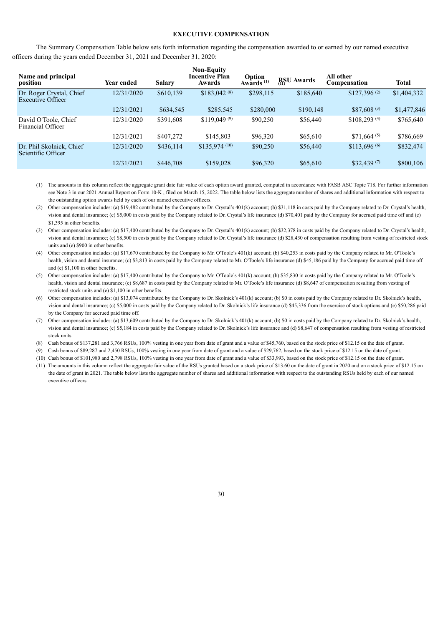#### **EXECUTIVE COMPENSATION**

The Summary Compensation Table below sets forth information regarding the compensation awarded to or earned by our named executive officers during the years ended December 31, 2021 and December 31, 2020:

| Name and principal<br>position                 | Year ended | <b>Salary</b> | <b>Non-Equity</b><br><b>Incentive Plan</b><br>Awards | Option<br>Awards <sup>(1)</sup> | <b>RSU</b> Awards | All other<br>Compensation | <b>Total</b> |
|------------------------------------------------|------------|---------------|------------------------------------------------------|---------------------------------|-------------------|---------------------------|--------------|
| Dr. Roger Crystal, Chief<br>Executive Officer  | 12/31/2020 | \$610,139     | $$183,042^{(8)}$                                     | \$298,115                       | \$185,640         | $$127.396^{(2)}$          | \$1,404,332  |
|                                                | 12/31/2021 | \$634,545     | \$285,545                                            | \$280,000                       | \$190,148         | $$87,608^{(3)}$           | \$1,477,846  |
| David O'Toole, Chief<br>Financial Officer      | 12/31/2020 | \$391,608     | \$119.049 <sup>(9)</sup>                             | \$90,250                        | \$56,440          | \$108,293(4)              | \$765,640    |
|                                                | 12/31/2021 | \$407,272     | \$145.803                                            | \$96,320                        | \$65,610          | $$71,664^{(5)}$           | \$786,669    |
| Dr. Phil Skolnick, Chief<br>Scientific Officer | 12/31/2020 | \$436,114     | $$135,974$ <sup>(10)</sup>                           | \$90,250                        | \$56,440          | $$113,696\,^{(6)}$        | \$832,474    |
|                                                | 12/31/2021 | \$446,708     | \$159,028                                            | \$96,320                        | \$65,610          | \$32,439 $(7)$            | \$800,106    |

(1) The amounts in this column reflect the aggregate grant date fair value of each option award granted, computed in accordance with FASB ASC Topic 718. For further information see Note 3 in our 2021 Annual Report on Form 10-K, filed on March 15, 2022. The table below lists the aggregate number of shares and additional information with respect to the outstanding option awards held by each of our named executive officers.

(2) Other compensation includes: (a) \$19,482 contributed by the Company to Dr. Crystal's 401(k) account; (b) \$31,118 in costs paid by the Company related to Dr. Crystal's health, vision and dental insurance; (c) \$5,000 in costs paid by the Company related to Dr. Crystal's life insurance (d) \$70,401 paid by the Company for accrued paid time off and (e) \$1,395 in other benefits.

- (3) Other compensation includes: (a) \$17,400 contributed by the Company to Dr. Crystal's 401(k) account; (b) \$32,378 in costs paid by the Company related to Dr. Crystal's health, vision and dental insurance; (c) \$8,500 in costs paid by the Company related to Dr. Crystal's life insurance (d) \$28,430 of compensation resulting from vesting of restricted stock units and (e) \$900 in other benefits.
- (4) Other compensation includes: (a) \$17,670 contributed by the Company to Mr. O'Toole's 401(k) account; (b) \$40,253 in costs paid by the Company related to Mr. O'Toole's health, vision and dental insurance; (c) \$3,813 in costs paid by the Company related to Mr. O'Toole's life insurance (d) \$45,186 paid by the Company for accrued paid time off and (e) \$1,100 in other benefits.
- (5) Other compensation includes: (a) \$17,400 contributed by the Company to Mr. O'Toole's 401(k) account; (b) \$35,830 in costs paid by the Company related to Mr. O'Toole's health, vision and dental insurance; (c) \$8,687 in costs paid by the Company related to Mr. O'Toole's life insurance (d) \$8,647 of compensation resulting from vesting of restricted stock units and (e) \$1,100 in other benefits.
- (6) Other compensation includes: (a) \$13,074 contributed by the Company to Dr. Skolnick's 401(k) account; (b) \$0 in costs paid by the Company related to Dr. Skolnick's health, vision and dental insurance; (c) \$5,000 in costs paid by the Company related to Dr. Skolnick's life insurance (d) \$45,336 from the exercise of stock options and (e) \$50,286 paid by the Company for accrued paid time off.
- (7) Other compensation includes: (a) \$13,609 contributed by the Company to Dr. Skolnick's 401(k) account; (b) \$0 in costs paid by the Company related to Dr. Skolnick's health, vision and dental insurance; (c) \$5,184 in costs paid by the Company related to Dr. Skolnick's life insurance and (d) \$8,647 of compensation resulting from vesting of restricted stock units.
- (8) Cash bonus of \$137,281 and 3,766 RSUs, 100% vesting in one year from date of grant and a value of \$45,760, based on the stock price of \$12.15 on the date of grant.
- (9) Cash bonus of \$89,287 and 2,450 RSUs, 100% vesting in one year from date of grant and a value of \$29,762, based on the stock price of \$12.15 on the date of grant.
- (10) Cash bonus of \$101,980 and 2,798 RSUs, 100% vesting in one year from date of grant and a value of \$33,993, based on the stock price of \$12.15 on the date of grant.
- (11) The amounts in this column reflect the aggregate fair value of the RSUs granted based on a stock price of \$13.60 on the date of grant in 2020 and on a stock price of \$12.15 on the date of grant in 2021. The table below lists the aggregate number of shares and additional information with respect to the outstanding RSUs held by each of our named executive officers.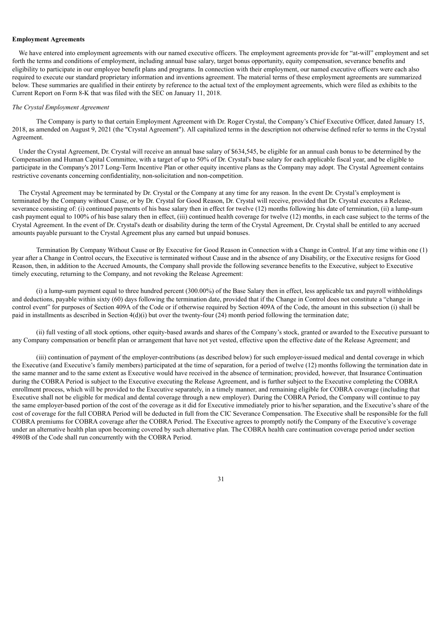#### **Employment Agreements**

We have entered into employment agreements with our named executive officers. The employment agreements provide for "at-will" employment and set forth the terms and conditions of employment, including annual base salary, target bonus opportunity, equity compensation, severance benefits and eligibility to participate in our employee benefit plans and programs. In connection with their employment, our named executive officers were each also required to execute our standard proprietary information and inventions agreement. The material terms of these employment agreements are summarized below. These summaries are qualified in their entirety by reference to the actual text of the employment agreements, which were filed as exhibits to the Current Report on Form 8-K that was filed with the SEC on January 11, 2018.

#### *The Crystal Employment Agreement*

The Company is party to that certain Employment Agreement with Dr. Roger Crystal, the Company's Chief Executive Officer, dated January 15, 2018, as amended on August 9, 2021 (the "Crystal Agreement"). All capitalized terms in the description not otherwise defined refer to terms in the Crystal Agreement.

Under the Crystal Agreement, Dr. Crystal will receive an annual base salary of \$634,545, be eligible for an annual cash bonus to be determined by the Compensation and Human Capital Committee, with a target of up to 50% of Dr. Crystal's base salary for each applicable fiscal year, and be eligible to participate in the Company's 2017 Long-Term Incentive Plan or other equity incentive plans as the Company may adopt. The Crystal Agreement contains restrictive covenants concerning confidentiality, non-solicitation and non-competition.

The Crystal Agreement may be terminated by Dr. Crystal or the Company at any time for any reason. In the event Dr. Crystal's employment is terminated by the Company without Cause, or by Dr. Crystal for Good Reason, Dr. Crystal will receive, provided that Dr. Crystal executes a Release, severance consisting of: (i) continued payments of his base salary then in effect for twelve (12) months following his date of termination, (ii) a lump-sum cash payment equal to 100% of his base salary then in effect, (iii) continued health coverage for twelve (12) months, in each case subject to the terms of the Crystal Agreement. In the event of Dr. Crystal's death or disability during the term of the Crystal Agreement, Dr. Crystal shall be entitled to any accrued amounts payable pursuant to the Crystal Agreement plus any earned but unpaid bonuses.

Termination By Company Without Cause or By Executive for Good Reason in Connection with a Change in Control. If at any time within one (1) year after a Change in Control occurs, the Executive is terminated without Cause and in the absence of any Disability, or the Executive resigns for Good Reason, then, in addition to the Accrued Amounts, the Company shall provide the following severance benefits to the Executive, subject to Executive timely executing, returning to the Company, and not revoking the Release Agreement:

(i) a lump-sum payment equal to three hundred percent (300.00%) of the Base Salary then in effect, less applicable tax and payroll withholdings and deductions, payable within sixty (60) days following the termination date, provided that if the Change in Control does not constitute a "change in control event" for purposes of Section 409A of the Code or if otherwise required by Section 409A of the Code, the amount in this subsection (i) shall be paid in installments as described in Section 4(d)(i) but over the twenty-four (24) month period following the termination date;

(ii) full vesting of all stock options, other equity-based awards and shares of the Company's stock, granted or awarded to the Executive pursuant to any Company compensation or benefit plan or arrangement that have not yet vested, effective upon the effective date of the Release Agreement; and

(iii) continuation of payment of the employer-contributions (as described below) for such employer-issued medical and dental coverage in which the Executive (and Executive's family members) participated at the time of separation, for a period of twelve (12) months following the termination date in the same manner and to the same extent as Executive would have received in the absence of termination; provided, however, that Insurance Continuation during the COBRA Period is subject to the Executive executing the Release Agreement, and is further subject to the Executive completing the COBRA enrollment process, which will be provided to the Executive separately, in a timely manner, and remaining eligible for COBRA coverage (including that Executive shall not be eligible for medical and dental coverage through a new employer). During the COBRA Period, the Company will continue to pay the same employer-based portion of the cost of the coverage as it did for Executive immediately prior to his/her separation, and the Executive's share of the cost of coverage for the full COBRA Period will be deducted in full from the CIC Severance Compensation. The Executive shall be responsible for the full COBRA premiums for COBRA coverage after the COBRA Period. The Executive agrees to promptly notify the Company of the Executive's coverage under an alternative health plan upon becoming covered by such alternative plan. The COBRA health care continuation coverage period under section 4980B of the Code shall run concurrently with the COBRA Period.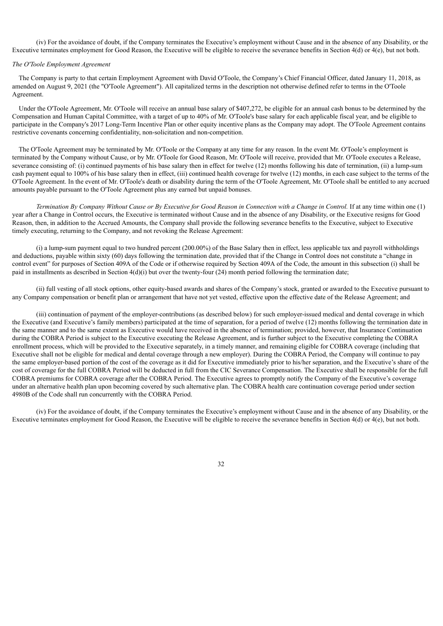(iv) For the avoidance of doubt, if the Company terminates the Executive's employment without Cause and in the absence of any Disability, or the Executive terminates employment for Good Reason, the Executive will be eligible to receive the severance benefits in Section 4(d) or 4(e), but not both.

### *The O'Toole Employment Agreement*

The Company is party to that certain Employment Agreement with David O'Toole, the Company's Chief Financial Officer, dated January 11, 2018, as amended on August 9, 2021 (the "O'Toole Agreement"). All capitalized terms in the description not otherwise defined refer to terms in the O'Toole Agreement.

Under the O'Toole Agreement, Mr. O'Toole will receive an annual base salary of \$407,272, be eligible for an annual cash bonus to be determined by the Compensation and Human Capital Committee, with a target of up to 40% of Mr. O'Toole's base salary for each applicable fiscal year, and be eligible to participate in the Company's 2017 Long-Term Incentive Plan or other equity incentive plans as the Company may adopt. The O'Toole Agreement contains restrictive covenants concerning confidentiality, non-solicitation and non-competition.

The O'Toole Agreement may be terminated by Mr. O'Toole or the Company at any time for any reason. In the event Mr. O'Toole's employment is terminated by the Company without Cause, or by Mr. O'Toole for Good Reason, Mr. O'Toole will receive, provided that Mr. O'Toole executes a Release, severance consisting of: (i) continued payments of his base salary then in effect for twelve (12) months following his date of termination, (ii) a lump-sum cash payment equal to 100% of his base salary then in effect, (iii) continued health coverage for twelve (12) months, in each case subject to the terms of the O'Toole Agreement. In the event of Mr. O'Toole's death or disability during the term of the O'Toole Agreement, Mr. O'Toole shall be entitled to any accrued amounts payable pursuant to the O'Toole Agreement plus any earned but unpaid bonuses.

Termination By Company Without Cause or By Executive for Good Reason in Connection with a Change in Control. If at any time within one (1) year after a Change in Control occurs, the Executive is terminated without Cause and in the absence of any Disability, or the Executive resigns for Good Reason, then, in addition to the Accrued Amounts, the Company shall provide the following severance benefits to the Executive, subject to Executive timely executing, returning to the Company, and not revoking the Release Agreement:

(i) a lump-sum payment equal to two hundred percent (200.00%) of the Base Salary then in effect, less applicable tax and payroll withholdings and deductions, payable within sixty (60) days following the termination date, provided that if the Change in Control does not constitute a "change in control event" for purposes of Section 409A of the Code or if otherwise required by Section 409A of the Code, the amount in this subsection (i) shall be paid in installments as described in Section 4(d)(i) but over the twenty-four (24) month period following the termination date;

(ii) full vesting of all stock options, other equity-based awards and shares of the Company's stock, granted or awarded to the Executive pursuant to any Company compensation or benefit plan or arrangement that have not yet vested, effective upon the effective date of the Release Agreement; and

(iii) continuation of payment of the employer-contributions (as described below) for such employer-issued medical and dental coverage in which the Executive (and Executive's family members) participated at the time of separation, for a period of twelve (12) months following the termination date in the same manner and to the same extent as Executive would have received in the absence of termination; provided, however, that Insurance Continuation during the COBRA Period is subject to the Executive executing the Release Agreement, and is further subject to the Executive completing the COBRA enrollment process, which will be provided to the Executive separately, in a timely manner, and remaining eligible for COBRA coverage (including that Executive shall not be eligible for medical and dental coverage through a new employer). During the COBRA Period, the Company will continue to pay the same employer-based portion of the cost of the coverage as it did for Executive immediately prior to his/her separation, and the Executive's share of the cost of coverage for the full COBRA Period will be deducted in full from the CIC Severance Compensation. The Executive shall be responsible for the full COBRA premiums for COBRA coverage after the COBRA Period. The Executive agrees to promptly notify the Company of the Executive's coverage under an alternative health plan upon becoming covered by such alternative plan. The COBRA health care continuation coverage period under section 4980B of the Code shall run concurrently with the COBRA Period.

(iv) For the avoidance of doubt, if the Company terminates the Executive's employment without Cause and in the absence of any Disability, or the Executive terminates employment for Good Reason, the Executive will be eligible to receive the severance benefits in Section 4(d) or 4(e), but not both.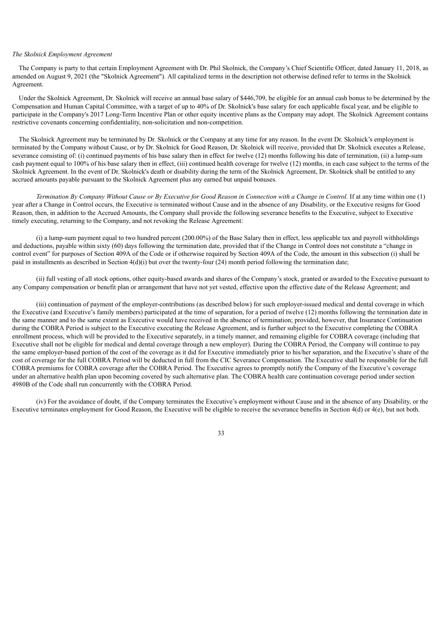### *The Skolnick Employment Agreement*

The Company is party to that certain Employment Agreement with Dr. Phil Skolnick, the Company's Chief Scientific Officer, dated January 11, 2018, as amended on August 9, 2021 (the "Skolnick Agreement"). All capitalized terms in the description not otherwise defined refer to terms in the Skolnick Agreement.

Under the Skolnick Agreement, Dr. Skolnick will receive an annual base salary of \$446,709, be eligible for an annual cash bonus to be determined by the Compensation and Human Capital Committee, with a target of up to 40% of Dr. Skolnick's base salary for each applicable fiscal year, and be eligible to participate in the Company's 2017 Long-Term Incentive Plan or other equity incentive plans as the Company may adopt. The Skolnick Agreement contains restrictive covenants concerning confidentiality, non-solicitation and non-competition.

The Skolnick Agreement may be terminated by Dr. Skolnick or the Company at any time for any reason. In the event Dr. Skolnick's employment is terminated by the Company without Cause, or by Dr. Skolnick for Good Reason, Dr. Skolnick will receive, provided that Dr. Skolnick executes a Release, severance consisting of: (i) continued payments of his base salary then in effect for twelve (12) months following his date of termination, (ii) a lump-sum cash payment equal to 100% of his base salary then in effect, (iii) continued health coverage for twelve (12) months, in each case subject to the terms of the Skolnick Agreement. In the event of Dr. Skolnick's death or disability during the term of the Skolnick Agreement, Dr. Skolnick shall be entitled to any accrued amounts payable pursuant to the Skolnick Agreement plus any earned but unpaid bonuses.

Termination By Company Without Cause or By Executive for Good Reason in Connection with a Change in Control. If at any time within one (1) year after a Change in Control occurs, the Executive is terminated without Cause and in the absence of any Disability, or the Executive resigns for Good Reason, then, in addition to the Accrued Amounts, the Company shall provide the following severance benefits to the Executive, subject to Executive timely executing, returning to the Company, and not revoking the Release Agreement:

(i) a lump-sum payment equal to two hundred percent (200.00%) of the Base Salary then in effect, less applicable tax and payroll withholdings and deductions, payable within sixty (60) days following the termination date, provided that if the Change in Control does not constitute a "change in control event" for purposes of Section 409A of the Code or if otherwise required by Section 409A of the Code, the amount in this subsection (i) shall be paid in installments as described in Section 4(d)(i) but over the twenty-four (24) month period following the termination date;

(ii) full vesting of all stock options, other equity-based awards and shares of the Company's stock, granted or awarded to the Executive pursuant to any Company compensation or benefit plan or arrangement that have not yet vested, effective upon the effective date of the Release Agreement; and

(iii) continuation of payment of the employer-contributions (as described below) for such employer-issued medical and dental coverage in which the Executive (and Executive's family members) participated at the time of separation, for a period of twelve (12) months following the termination date in the same manner and to the same extent as Executive would have received in the absence of termination; provided, however, that Insurance Continuation during the COBRA Period is subject to the Executive executing the Release Agreement, and is further subject to the Executive completing the COBRA enrollment process, which will be provided to the Executive separately, in a timely manner, and remaining eligible for COBRA coverage (including that Executive shall not be eligible for medical and dental coverage through a new employer). During the COBRA Period, the Company will continue to pay the same employer-based portion of the cost of the coverage as it did for Executive immediately prior to his/her separation, and the Executive's share of the cost of coverage for the full COBRA Period will be deducted in full from the CIC Severance Compensation. The Executive shall be responsible for the full COBRA premiums for COBRA coverage after the COBRA Period. The Executive agrees to promptly notify the Company of the Executive's coverage under an alternative health plan upon becoming covered by such alternative plan. The COBRA health care continuation coverage period under section 4980B of the Code shall run concurrently with the COBRA Period.

<span id="page-37-0"></span>(iv) For the avoidance of doubt, if the Company terminates the Executive's employment without Cause and in the absence of any Disability, or the Executive terminates employment for Good Reason, the Executive will be eligible to receive the severance benefits in Section 4(d) or 4(e), but not both.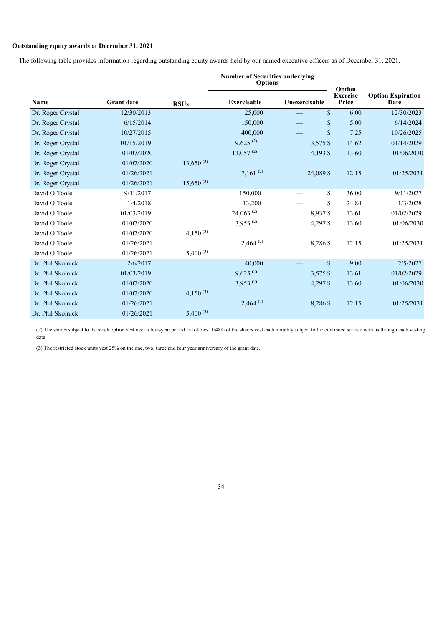## **Outstanding equity awards at December 31, 2021**

The following table provides information regarding outstanding equity awards held by our named executive officers as of December 31, 2021.

|                   |                   |                | <b>Number of Securities underlying</b><br><b>Options</b> |               | Option              |                                  |  |
|-------------------|-------------------|----------------|----------------------------------------------------------|---------------|---------------------|----------------------------------|--|
| Name              | <b>Grant date</b> | <b>RSUs</b>    | Exercisable                                              | Unexercisable | Exercise<br>Price   | <b>Option Expiration</b><br>Date |  |
| Dr. Roger Crystal | 12/30/2013        |                | 25,000                                                   |               | $\mathbf S$<br>6.00 | 12/30/2023                       |  |
| Dr. Roger Crystal | 6/15/2014         |                | 150,000                                                  |               | \$<br>5.00          | 6/14/2024                        |  |
| Dr. Roger Crystal | 10/27/2015        |                | 400,000                                                  |               | \$<br>7.25          | 10/26/2025                       |  |
| Dr. Roger Crystal | 01/15/2019        |                | $9,625^{(2)}$                                            | 3,575 \$      | 14.62               | 01/14/2029                       |  |
| Dr. Roger Crystal | 01/07/2020        |                | $13,057^{(2)}$                                           | 14,193 \$     | 13.60               | 01/06/2030                       |  |
| Dr. Roger Crystal | 01/07/2020        | $13,650^{(3)}$ |                                                          |               |                     |                                  |  |
| Dr. Roger Crystal | 01/26/2021        |                | $7,161^{(2)}$                                            | 24,089 \$     | 12.15               | 01/25/2031                       |  |
| Dr. Roger Crystal | 01/26/2021        | $15,650^{(3)}$ |                                                          |               |                     |                                  |  |
| David O'Toole     | 9/11/2017         |                | 150,000                                                  |               | \$<br>36.00         | 9/11/2027                        |  |
| David O'Toole     | 1/4/2018          |                | 13,200                                                   |               | \$<br>24.84         | 1/3/2028                         |  |
| David O'Toole     | 01/03/2019        |                | $24,063$ <sup>(2)</sup>                                  | 8,937\$       | 13.61               | 01/02/2029                       |  |
| David O'Toole     | 01/07/2020        |                | $3,953^{(2)}$                                            | 4,297\$       | 13.60               | 01/06/2030                       |  |
| David O'Toole     | 01/07/2020        | 4,150 $(3)$    |                                                          |               |                     |                                  |  |
| David O'Toole     | 01/26/2021        |                | $2,464^{(2)}$                                            | 8,286\$       | 12.15               | 01/25/2031                       |  |
| David O'Toole     | 01/26/2021        | $5,400^{(3)}$  |                                                          |               |                     |                                  |  |
| Dr. Phil Skolnick | 2/6/2017          |                | 40,000                                                   |               | $\mathbf S$<br>9.00 | 2/5/2027                         |  |
| Dr. Phil Skolnick | 01/03/2019        |                | $9,625^{(2)}$                                            | 3,575 \$      | 13.61               | 01/02/2029                       |  |
| Dr. Phil Skolnick | 01/07/2020        |                | $3,953^{(2)}$                                            | 4,297\$       | 13.60               | 01/06/2030                       |  |
| Dr. Phil Skolnick | 01/07/2020        | $4,150^{(3)}$  |                                                          |               |                     |                                  |  |
| Dr. Phil Skolnick | 01/26/2021        |                | $2,464^{(2)}$                                            | 8,286 \$      | 12.15               | 01/25/2031                       |  |
| Dr. Phil Skolnick | 01/26/2021        | $5,400^{(3)}$  |                                                          |               |                     |                                  |  |

(2) The shares subject to the stock option vest over a four-year period as follows: 1/48th of the shares vest each monthly subject to the continued service with us through each vesting date.

(3) The restricted stock units vest 25% on the one, two, three and four year anniversary of the grant date.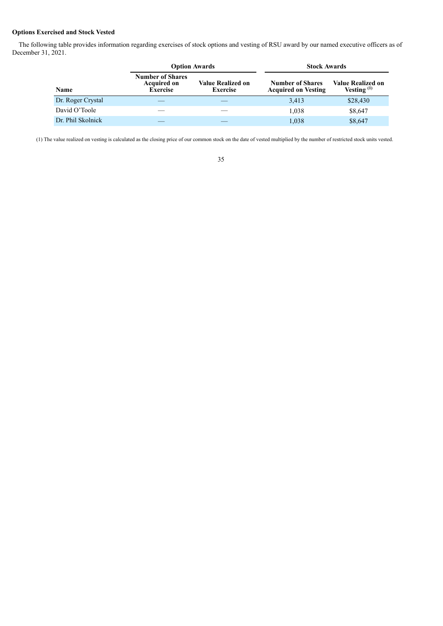## **Options Exercised and Stock Vested**

The following table provides information regarding exercises of stock options and vesting of RSU award by our named executive officers as of December 31, 2021.

|                   | <b>Option Awards</b>                                             |                                      | <b>Stock Awards</b>                                   |                                    |  |
|-------------------|------------------------------------------------------------------|--------------------------------------|-------------------------------------------------------|------------------------------------|--|
| Name              | <b>Number of Shares</b><br><b>Acquired on</b><br><b>Exercise</b> | Value Realized on<br><b>Exercise</b> | <b>Number of Shares</b><br><b>Acquired on Vesting</b> | Value Realized on<br>Vesting $(1)$ |  |
| Dr. Roger Crystal |                                                                  |                                      | 3,413                                                 | \$28,430                           |  |
| David O'Toole     |                                                                  |                                      | 1,038                                                 | \$8,647                            |  |
| Dr. Phil Skolnick |                                                                  |                                      | 1,038                                                 | \$8,647                            |  |

<span id="page-39-0"></span>(1) The value realized on vesting is calculated as the closing price of our common stock on the date of vested multiplied by the number of restricted stock units vested.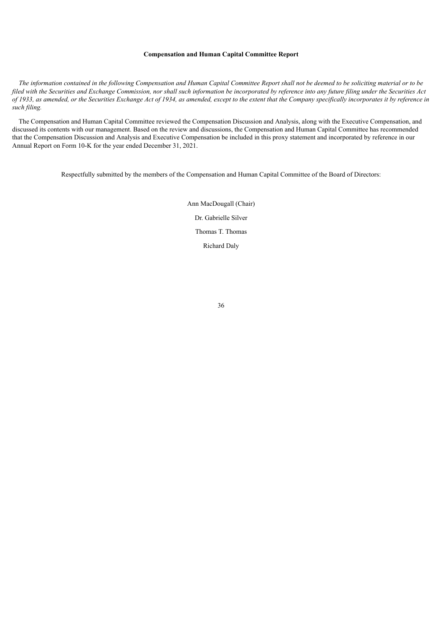### **Compensation and Human Capital Committee Report**

The information contained in the following Compensation and Human Capital Committee Report shall not be deemed to be soliciting material or to be filed with the Securities and Exchange Commission, nor shall such information be incorporated by reference into any future filing under the Securities Act of 1933, as amended, or the Securities Exchange Act of 1934, as amended, except to the extent that the Company specifically incorporates it by reference in *such filing.*

The Compensation and Human Capital Committee reviewed the Compensation Discussion and Analysis, along with the Executive Compensation, and discussed its contents with our management. Based on the review and discussions, the Compensation and Human Capital Committee has recommended that the Compensation Discussion and Analysis and Executive Compensation be included in this proxy statement and incorporated by reference in our Annual Report on Form 10-K for the year ended December 31, 2021.

<span id="page-40-0"></span>Respectfully submitted by the members of the Compensation and Human Capital Committee of the Board of Directors:

Ann MacDougall (Chair) Dr. Gabrielle Silver Thomas T. Thomas Richard Daly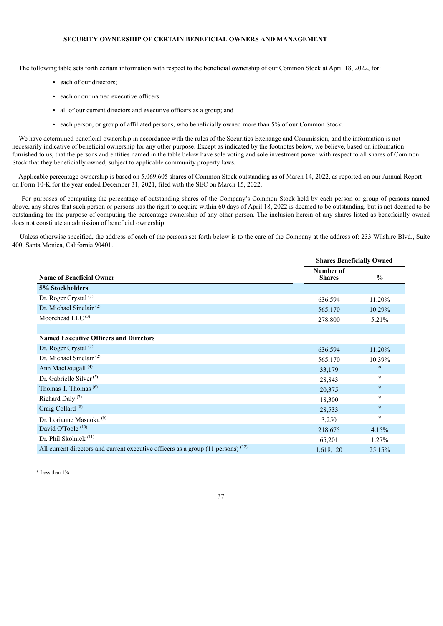## **SECURITY OWNERSHIP OF CERTAIN BENEFICIAL OWNERS AND MANAGEMENT**

The following table sets forth certain information with respect to the beneficial ownership of our Common Stock at April 18, 2022, for:

- each of our directors;
- each or our named executive officers
- all of our current directors and executive officers as a group; and
- each person, or group of affiliated persons, who beneficially owned more than 5% of our Common Stock.

We have determined beneficial ownership in accordance with the rules of the Securities Exchange and Commission, and the information is not necessarily indicative of beneficial ownership for any other purpose. Except as indicated by the footnotes below, we believe, based on information furnished to us, that the persons and entities named in the table below have sole voting and sole investment power with respect to all shares of Common Stock that they beneficially owned, subject to applicable community property laws.

Applicable percentage ownership is based on 5,069,605 shares of Common Stock outstanding as of March 14, 2022, as reported on our Annual Report on Form 10-K for the year ended December 31, 2021, filed with the SEC on March 15, 2022.

For purposes of computing the percentage of outstanding shares of the Company's Common Stock held by each person or group of persons named above, any shares that such person or persons has the right to acquire within 60 days of April 18, 2022 is deemed to be outstanding, but is not deemed to be outstanding for the purpose of computing the percentage ownership of any other person. The inclusion herein of any shares listed as beneficially owned does not constitute an admission of beneficial ownership.

Unless otherwise specified, the address of each of the persons set forth below is to the care of the Company at the address of: 233 Wilshire Blvd., Suite 400, Santa Monica, California 90401.

|                                                                                               | <b>Shares Beneficially Owned</b> |               |  |
|-----------------------------------------------------------------------------------------------|----------------------------------|---------------|--|
| <b>Name of Beneficial Owner</b>                                                               | Number of<br><b>Shares</b>       | $\frac{0}{0}$ |  |
| 5% Stockholders                                                                               |                                  |               |  |
| Dr. Roger Crystal <sup>(1)</sup>                                                              | 636,594                          | 11.20%        |  |
| Dr. Michael Sinclair $(2)$                                                                    | 565,170                          | 10.29%        |  |
| Moorehead LLC <sup>(3)</sup>                                                                  | 278,800                          | 5.21%         |  |
|                                                                                               |                                  |               |  |
| <b>Named Executive Officers and Directors</b>                                                 |                                  |               |  |
| Dr. Roger Crystal <sup>(1)</sup>                                                              | 636,594                          | 11.20%        |  |
| Dr. Michael Sinclair <sup>(2)</sup>                                                           | 565,170                          | 10.39%        |  |
| Ann MacDougall <sup>(4)</sup>                                                                 | 33,179                           | $\ast$        |  |
| Dr. Gabrielle Silver <sup><math>(5)</math></sup>                                              | 28,843                           | $\ast$        |  |
| Thomas T. Thomas $(6)$                                                                        | 20,375                           | $\ast$        |  |
| Richard Daly <sup>(7)</sup>                                                                   | 18,300                           | $\ast$        |  |
| Craig Collard <sup>(8)</sup>                                                                  | 28,533                           | $\ast$        |  |
| Dr. Lorianne Masuoka <sup>(9)</sup>                                                           | 3,250                            | $\ast$        |  |
| David O'Toole <sup>(10)</sup>                                                                 | 218,675                          | 4.15%         |  |
| Dr. Phil Skolnick <sup>(11)</sup>                                                             | 65,201                           | 1.27%         |  |
| All current directors and current executive officers as a group $(11 \text{ persons})$ $(12)$ | 1,618,120                        | 25.15%        |  |

\* Less than 1%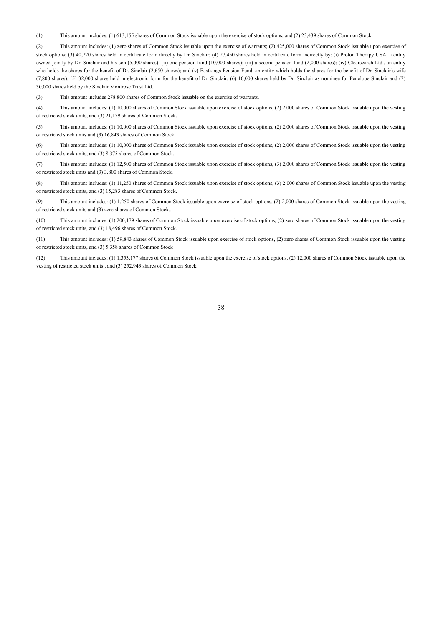(1) This amount includes: (1) 613,155 shares of Common Stock issuable upon the exercise of stock options, and (2) 23,439 shares of Common Stock.

(2) This amount includes: (1) zero shares of Common Stock issuable upon the exercise of warrants; (2) 425,000 shares of Common Stock issuable upon exercise of stock options; (3) 40,720 shares held in certificate form directly by Dr. Sinclair; (4) 27,450 shares held in certificate form indirectly by: (i) Proton Therapy USA, a entity owned jointly by Dr. Sinclair and his son (5,000 shares); (ii) one pension fund (10,000 shares); (iii) a second pension fund (2,000 shares); (iv) Clearsearch Ltd., an entity who holds the shares for the benefit of Dr. Sinclair (2,650 shares); and (v) Eastkings Pension Fund, an entity which holds the shares for the benefit of Dr. Sinclair's wife (7,800 shares); (5) 32,000 shares held in electronic form for the benefit of Dr. Sinclair; (6) 10,000 shares held by Dr. Sinclair as nominee for Penelope Sinclair and (7) 30,000 shares held by the Sinclair Montrose Trust Ltd.

(3) This amount includes 278,800 shares of Common Stock issuable on the exercise of warrants.

(4) This amount includes: (1) 10,000 shares of Common Stock issuable upon exercise of stock options, (2) 2,000 shares of Common Stock issuable upon the vesting of restricted stock units, and (3) 21,179 shares of Common Stock.

(5) This amount includes: (1) 10,000 shares of Common Stock issuable upon exercise of stock options, (2) 2,000 shares of Common Stock issuable upon the vesting of restricted stock units and (3) 16,843 shares of Common Stock.

(6) This amount includes: (1) 10,000 shares of Common Stock issuable upon exercise of stock options, (2) 2,000 shares of Common Stock issuable upon the vesting of restricted stock units, and (3) 8,375 shares of Common Stock.

(7) This amount includes: (1) 12,500 shares of Common Stock issuable upon exercise of stock options, (3) 2,000 shares of Common Stock issuable upon the vesting of restricted stock units and (3) 3,800 shares of Common Stock.

(8) This amount includes: (1) 11,250 shares of Common Stock issuable upon exercise of stock options, (3) 2,000 shares of Common Stock issuable upon the vesting of restricted stock units, and (3) 15,283 shares of Common Stock.

(9) This amount includes: (1) 1,250 shares of Common Stock issuable upon exercise of stock options, (2) 2,000 shares of Common Stock issuable upon the vesting of restricted stock units and (3) zero shares of Common Stock..

(10) This amount includes: (1) 200,179 shares of Common Stock issuable upon exercise of stock options, (2) zero shares of Common Stock issuable upon the vesting of restricted stock units, and (3) 18,496 shares of Common Stock.

(11) This amount includes: (1) 59,843 shares of Common Stock issuable upon exercise of stock options, (2) zero shares of Common Stock issuable upon the vesting of restricted stock units, and (3) 5,358 shares of Common Stock

<span id="page-42-0"></span>(12) This amount includes: (1) 1,353,177 shares of Common Stock issuable upon the exercise of stock options, (2) 12,000 shares of Common Stock issuable upon the vesting of restricted stock units , and (3) 252,943 shares of Common Stock.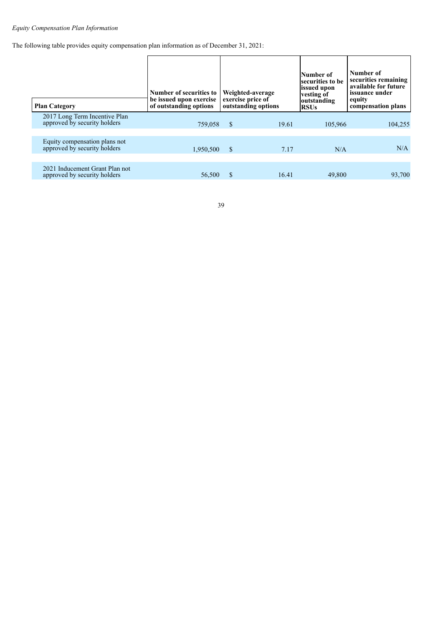# *Equity Compensation Plan Information*

The following table provides equity compensation plan information as of December 31, 2021:

<span id="page-43-0"></span>

| <b>Plan Category</b>                                           | Number of securities to<br>be issued upon exercise<br>of outstanding options |               | Weighted-average<br>exercise price of<br>outstanding options | Number of<br>securities to be<br>issued upon<br>vesting of<br>outstanding<br><b>RSUs</b> | Number of<br>securities remaining<br>available for future<br>issuance under<br>equity<br>compensation plans |
|----------------------------------------------------------------|------------------------------------------------------------------------------|---------------|--------------------------------------------------------------|------------------------------------------------------------------------------------------|-------------------------------------------------------------------------------------------------------------|
| 2017 Long Term Incentive Plan<br>approved by security holders  | 759,058                                                                      | <sup>S</sup>  | 19.61                                                        | 105,966                                                                                  | 104,255                                                                                                     |
| Equity compensation plans not<br>approved by security holders  | 1,950,500                                                                    | <sup>\$</sup> | 7.17                                                         | N/A                                                                                      | N/A                                                                                                         |
| 2021 Inducement Grant Plan not<br>approved by security holders | 56,500                                                                       | S             | 16.41                                                        | 49,800                                                                                   | 93,700                                                                                                      |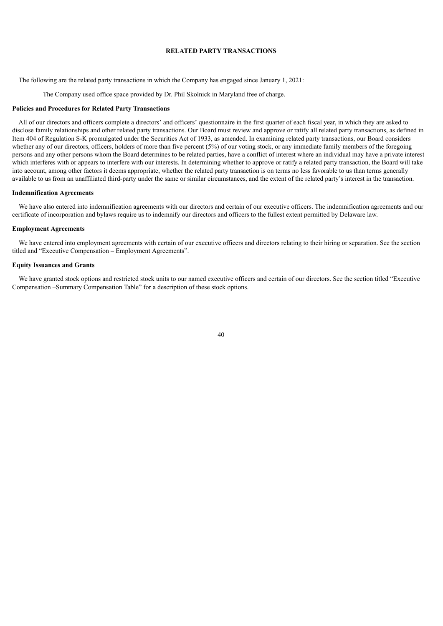### **RELATED PARTY TRANSACTIONS**

The following are the related party transactions in which the Company has engaged since January 1, 2021:

The Company used office space provided by Dr. Phil Skolnick in Maryland free of charge.

#### **Policies and Procedures for Related Party Transactions**

All of our directors and officers complete a directors' and officers' questionnaire in the first quarter of each fiscal year, in which they are asked to disclose family relationships and other related party transactions. Our Board must review and approve or ratify all related party transactions, as defined in Item 404 of Regulation S-K promulgated under the Securities Act of 1933, as amended. In examining related party transactions, our Board considers whether any of our directors, officers, holders of more than five percent (5%) of our voting stock, or any immediate family members of the foregoing persons and any other persons whom the Board determines to be related parties, have a conflict of interest where an individual may have a private interest which interferes with or appears to interfere with our interests. In determining whether to approve or ratify a related party transaction, the Board will take into account, among other factors it deems appropriate, whether the related party transaction is on terms no less favorable to us than terms generally available to us from an unaffiliated third-party under the same or similar circumstances, and the extent of the related party's interest in the transaction.

#### **Indemnification Agreements**

We have also entered into indemnification agreements with our directors and certain of our executive officers. The indemnification agreements and our certificate of incorporation and bylaws require us to indemnify our directors and officers to the fullest extent permitted by Delaware law.

#### **Employment Agreements**

We have entered into employment agreements with certain of our executive officers and directors relating to their hiring or separation. See the section titled and "Executive Compensation – Employment Agreements".

### **Equity Issuances and Grants**

<span id="page-44-0"></span>We have granted stock options and restricted stock units to our named executive officers and certain of our directors. See the section titled "Executive Compensation –Summary Compensation Table" for a description of these stock options.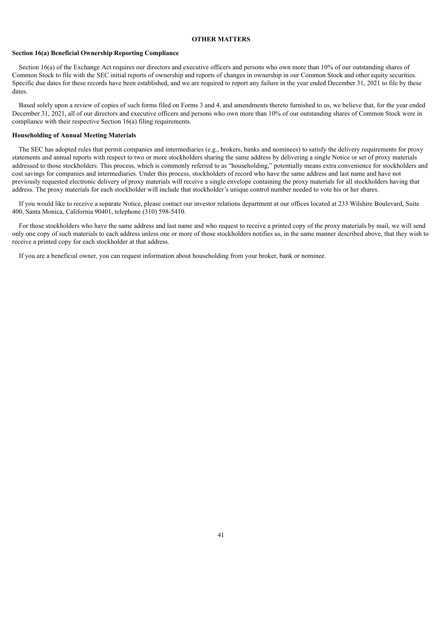### **OTHER MATTERS**

### **Section 16(a) Beneficial Ownership Reporting Compliance**

Section 16(a) of the Exchange Act requires our directors and executive officers and persons who own more than 10% of our outstanding shares of Common Stock to file with the SEC initial reports of ownership and reports of changes in ownership in our Common Stock and other equity securities. Specific due dates for these records have been established, and we are required to report any failure in the year ended December 31, 2021 to file by these dates.

Based solely upon a review of copies of such forms filed on Forms 3 and 4, and amendments thereto furnished to us, we believe that, for the year ended December 31, 2021, all of our directors and executive officers and persons who own more than 10% of our outstanding shares of Common Stock were in compliance with their respective Section 16(a) filing requirements.

#### **Householding of Annual Meeting Materials**

The SEC has adopted rules that permit companies and intermediaries (e.g., brokers, banks and nominees) to satisfy the delivery requirements for proxy statements and annual reports with respect to two or more stockholders sharing the same address by delivering a single Notice or set of proxy materials addressed to those stockholders. This process, which is commonly referred to as "householding," potentially means extra convenience for stockholders and cost savings for companies and intermediaries. Under this process, stockholders of record who have the same address and last name and have not previously requested electronic delivery of proxy materials will receive a single envelope containing the proxy materials for all stockholders having that address. The proxy materials for each stockholder will include that stockholder's unique control number needed to vote his or her shares.

If you would like to receive a separate Notice, please contact our investor relations department at our offices located at 233 Wilshire Boulevard, Suite 400, Santa Monica, California 90401, telephone (310) 598-5410.

For those stockholders who have the same address and last name and who request to receive a printed copy of the proxy materials by mail, we will send only one copy of such materials to each address unless one or more of those stockholders notifies us, in the same manner described above, that they wish to receive a printed copy for each stockholder at that address.

<span id="page-45-0"></span>If you are a beneficial owner, you can request information about householding from your broker, bank or nominee.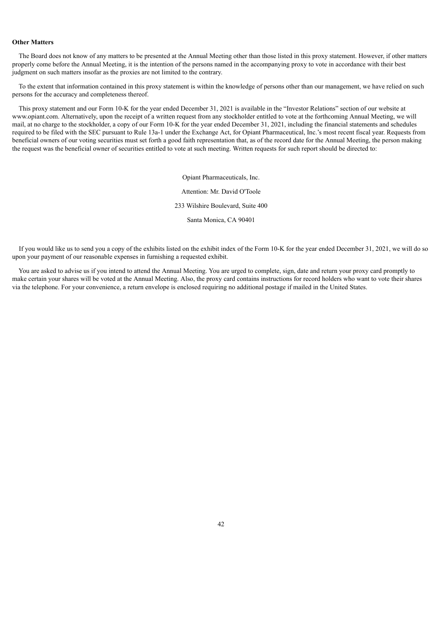### **Other Matters**

The Board does not know of any matters to be presented at the Annual Meeting other than those listed in this proxy statement. However, if other matters properly come before the Annual Meeting, it is the intention of the persons named in the accompanying proxy to vote in accordance with their best judgment on such matters insofar as the proxies are not limited to the contrary.

To the extent that information contained in this proxy statement is within the knowledge of persons other than our management, we have relied on such persons for the accuracy and completeness thereof.

This proxy statement and our Form 10-K for the year ended December 31, 2021 is available in the "Investor Relations" section of our website at www.opiant.com. Alternatively, upon the receipt of a written request from any stockholder entitled to vote at the forthcoming Annual Meeting, we will mail, at no charge to the stockholder, a copy of our Form 10-K for the year ended December 31, 2021, including the financial statements and schedules required to be filed with the SEC pursuant to Rule 13a-1 under the Exchange Act, for Opiant Pharmaceutical, Inc.'s most recent fiscal year. Requests from beneficial owners of our voting securities must set forth a good faith representation that, as of the record date for the Annual Meeting, the person making the request was the beneficial owner of securities entitled to vote at such meeting. Written requests for such report should be directed to:

> Opiant Pharmaceuticals, Inc. Attention: Mr. David O'Toole 233 Wilshire Boulevard, Suite 400 Santa Monica, CA 90401

If you would like us to send you a copy of the exhibits listed on the exhibit index of the Form 10-K for the year ended December 31, 2021, we will do so upon your payment of our reasonable expenses in furnishing a requested exhibit.

<span id="page-46-0"></span>You are asked to advise us if you intend to attend the Annual Meeting. You are urged to complete, sign, date and return your proxy card promptly to make certain your shares will be voted at the Annual Meeting. Also, the proxy card contains instructions for record holders who want to vote their shares via the telephone. For your convenience, a return envelope is enclosed requiring no additional postage if mailed in the United States.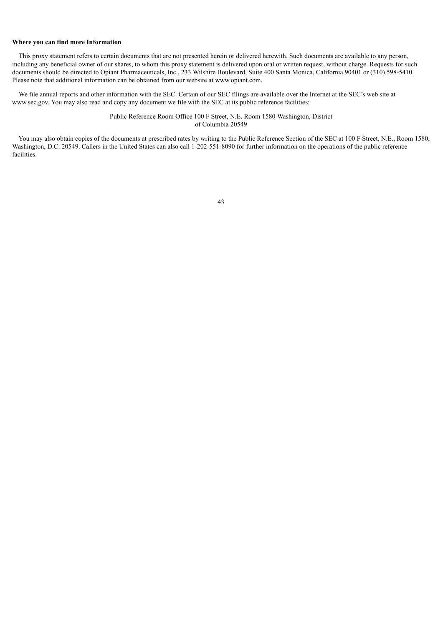### **Where you can find more Information**

This proxy statement refers to certain documents that are not presented herein or delivered herewith. Such documents are available to any person, including any beneficial owner of our shares, to whom this proxy statement is delivered upon oral or written request, without charge. Requests for such documents should be directed to Opiant Pharmaceuticals, Inc., 233 Wilshire Boulevard, Suite 400 Santa Monica, California 90401 or (310) 598-5410. Please note that additional information can be obtained from our website at www.opiant.com.

We file annual reports and other information with the SEC. Certain of our SEC filings are available over the Internet at the SEC's web site at www.sec.gov. You may also read and copy any document we file with the SEC at its public reference facilities:

> Public Reference Room Office 100 F Street, N.E. Room 1580 Washington, District of Columbia 20549

You may also obtain copies of the documents at prescribed rates by writing to the Public Reference Section of the SEC at 100 F Street, N.E., Room 1580, Washington, D.C. 20549. Callers in the United States can also call 1-202-551-8090 for further information on the operations of the public reference facilities.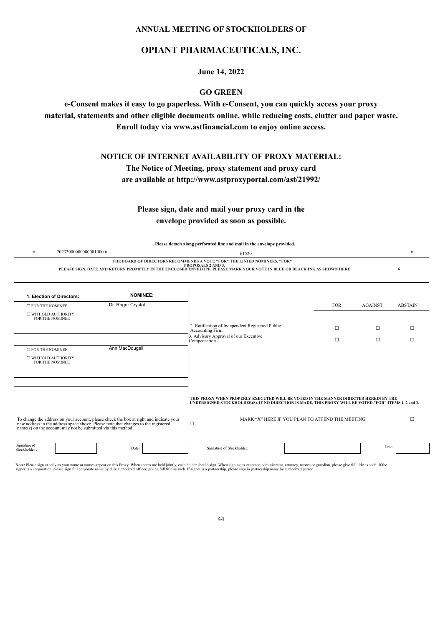# **ANNUAL MEETING OF STOCKHOLDERS OF**

# **OPIANT PHARMACEUTICALS, INC.**

**June 14, 2022**

# **GO GREEN**

**e-Consent makes it easy to go paperless. With e-Consent, you can quickly access your proxy material, statements and other eligible documents online, while reducing costs, clutter and paper waste. Enroll today via www.astfinancial.com to enjoy online access.**

**NOTICE OF INTERNET AVAILABILITY OF PROXY MATERIAL:**

**The Notice of Meeting, proxy statement and proxy card**

**are available at http://www.astproxyportal.com/ast/21992/**

**Please sign, date and mail your proxy card in the envelope provided as soon as possible.**

**Please detach along perforated line and mail in the envelope provided.**

| 20233000000000001000 6 | 61520                                                                                                                                                                                                                              |  |
|------------------------|------------------------------------------------------------------------------------------------------------------------------------------------------------------------------------------------------------------------------------|--|
|                        | THE BOARD OF DIRECTORS RECOMMENDS A VOTE "FOR" THE LISTED NOMINEES, "FOR"<br><b>PROPOSALS 2 AND 3.</b><br>PLEASE SIGN, DATE AND RETURN PROMPTLY IN THE ENCLOSED ENVELOPE. PLEASE MARK YOUR VOTE IN BLUE OR BLACK INK AS SHOWN HERE |  |
|                        |                                                                                                                                                                                                                                    |  |

| <b>NOMINEE:</b>   |                                                                      |            |                |
|-------------------|----------------------------------------------------------------------|------------|----------------|
| Dr. Roger Crystal |                                                                      | <b>FOR</b> | <b>AGAINST</b> |
|                   |                                                                      |            |                |
|                   | 2. Ratification of Independent Registered Public<br>Accounting Firm. | $\Box$     | □              |
|                   | 3. Advisory Approval of our Executive<br>Compensation                |            | □              |
| Ann MacDougall    |                                                                      |            |                |
|                   |                                                                      |            |                |
|                   |                                                                      |            |                |
|                   |                                                                      |            |                |

### **THIS PROXY WHEN PROPERLY EXECUTED WILL BE VOTED IN THE MANNER DIRECTED HEREIN BY THE UNDERSIGNED STOCKHOLDER(S). IF NO DIRECTION IS MADE, THIS PROXY WILL BE VOTED "FOR" ITEMS 1, 2 and 3.**

To change the address on your account, please check the box at right and indicate your<br>new address in the address space above. Please note that changes to the registered<br>name(s) on the account may not be submitted via this  $\Box$ MARK "X" HERE IF YOU PLAN TO ATTEND THE MEETING  $□$ 

Signature of

Stockholder : Production of Stockholder : Date: Date: Date: Date: Date: Date: Date: Date: Date: Date: Date: Date: Date: Date: Date: Date: Date: Date: Date: Date: Date: Date: Date: Date: Date: Date: Date: Date: Date: Date:

Note: Please sign exactly as your name or names appear on this Proxy. When shares are held jointly, each holder should sign. When signing as executor, administrator, attorney, trustee or guardian, please give full title as